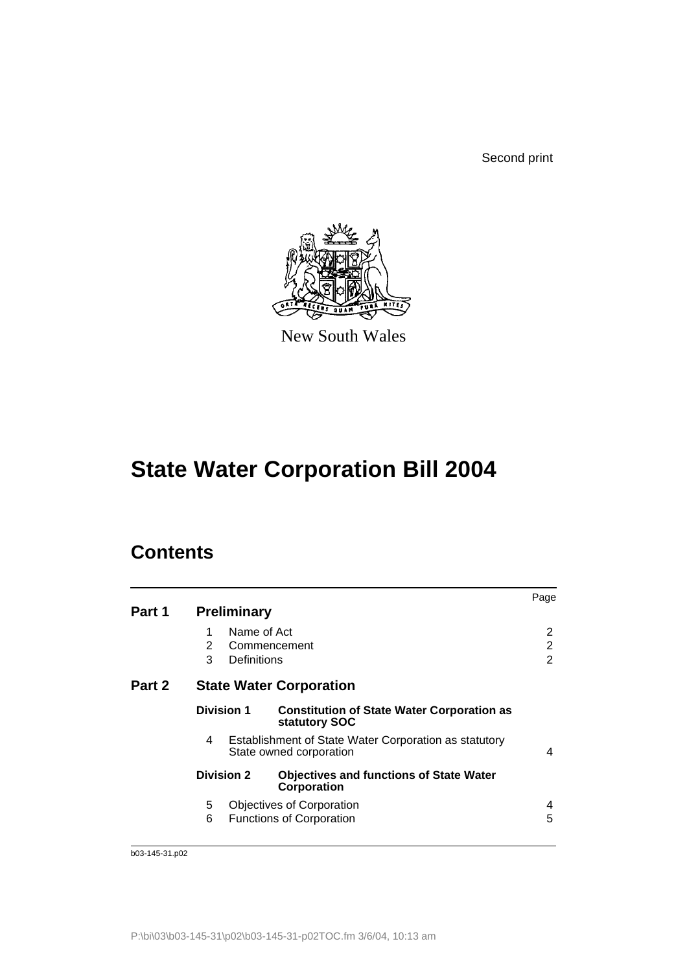Second print



New South Wales

# **State Water Corporation Bill 2004**

# **Contents**

|        |                    |                                                                                  | Page |
|--------|--------------------|----------------------------------------------------------------------------------|------|
| Part 1 | <b>Preliminary</b> |                                                                                  |      |
|        | 1                  | Name of Act                                                                      | 2    |
|        | 2                  | Commencement                                                                     | 2    |
|        | 3                  | Definitions                                                                      | 2    |
| Part 2 |                    | <b>State Water Corporation</b>                                                   |      |
|        | <b>Division 1</b>  | <b>Constitution of State Water Corporation as</b><br>statutory SOC               |      |
|        | 4                  | Establishment of State Water Corporation as statutory<br>State owned corporation | 4    |
|        | <b>Division 2</b>  | <b>Objectives and functions of State Water</b><br>Corporation                    |      |
|        | 5                  | Objectives of Corporation                                                        | 4    |
|        | 6                  | <b>Functions of Corporation</b>                                                  | 5    |
|        |                    |                                                                                  |      |

b03-145-31.p02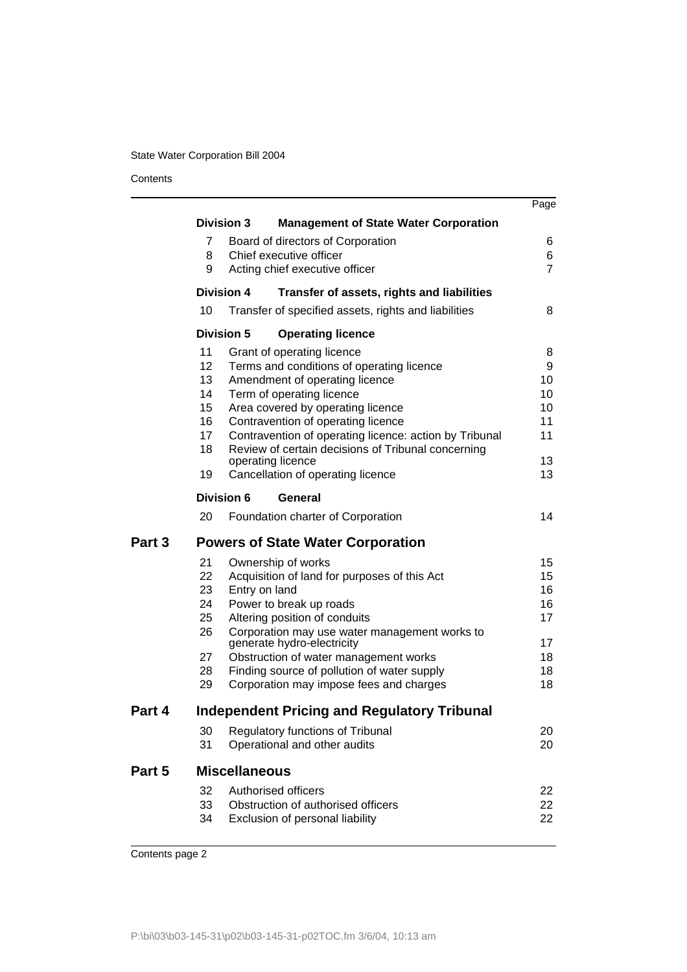**Contents** 

|        |                 |                      |                                                                                        | Page           |
|--------|-----------------|----------------------|----------------------------------------------------------------------------------------|----------------|
|        |                 | <b>Division 3</b>    | <b>Management of State Water Corporation</b>                                           |                |
|        | 7               |                      | Board of directors of Corporation                                                      | 6              |
|        | 8               |                      | Chief executive officer                                                                | 6              |
|        | 9               |                      | Acting chief executive officer                                                         | $\overline{7}$ |
|        |                 | <b>Division 4</b>    | Transfer of assets, rights and liabilities                                             |                |
|        | 10              |                      | Transfer of specified assets, rights and liabilities                                   | 8              |
|        |                 | <b>Division 5</b>    | <b>Operating licence</b>                                                               |                |
|        | 11              |                      | Grant of operating licence                                                             | 8              |
|        | 12 <sup>2</sup> |                      | Terms and conditions of operating licence                                              | 9              |
|        | 13              |                      | Amendment of operating licence                                                         | 10             |
|        | 14              |                      | Term of operating licence                                                              | 10             |
|        | 15              |                      | Area covered by operating licence                                                      | 10             |
|        | 16              |                      | Contravention of operating licence                                                     | 11             |
|        | 17              |                      | Contravention of operating licence: action by Tribunal                                 | 11             |
|        | 18              |                      | Review of certain decisions of Tribunal concerning                                     | 13             |
|        | 19              |                      | operating licence<br>Cancellation of operating licence                                 | 13             |
|        |                 | <b>Division 6</b>    | General                                                                                |                |
|        | 20              |                      | Foundation charter of Corporation                                                      | 14             |
| Part 3 |                 |                      | <b>Powers of State Water Corporation</b>                                               |                |
|        | 21              |                      | Ownership of works                                                                     | 15             |
|        | 22              |                      | Acquisition of land for purposes of this Act                                           | 15             |
|        | 23              | Entry on land        |                                                                                        | 16             |
|        | 24              |                      | Power to break up roads                                                                | 16             |
|        | 25              |                      | Altering position of conduits                                                          | 17             |
|        | 26              |                      | Corporation may use water management works to                                          |                |
|        |                 |                      | generate hydro-electricity                                                             | 17             |
|        | 27<br>28        |                      | Obstruction of water management works                                                  | 18<br>18       |
|        | 29              |                      | Finding source of pollution of water supply<br>Corporation may impose fees and charges | 18             |
|        |                 |                      |                                                                                        |                |
| Part 4 |                 |                      | <b>Independent Pricing and Regulatory Tribunal</b>                                     |                |
|        | 30              |                      | Regulatory functions of Tribunal                                                       | 20             |
|        | 31              |                      | Operational and other audits                                                           | 20             |
| Part 5 |                 | <b>Miscellaneous</b> |                                                                                        |                |
|        | 32              |                      | Authorised officers                                                                    | 22             |
|        | 33              |                      | Obstruction of authorised officers                                                     | 22             |
|        | 34              |                      | Exclusion of personal liability                                                        | 22             |
|        |                 |                      |                                                                                        |                |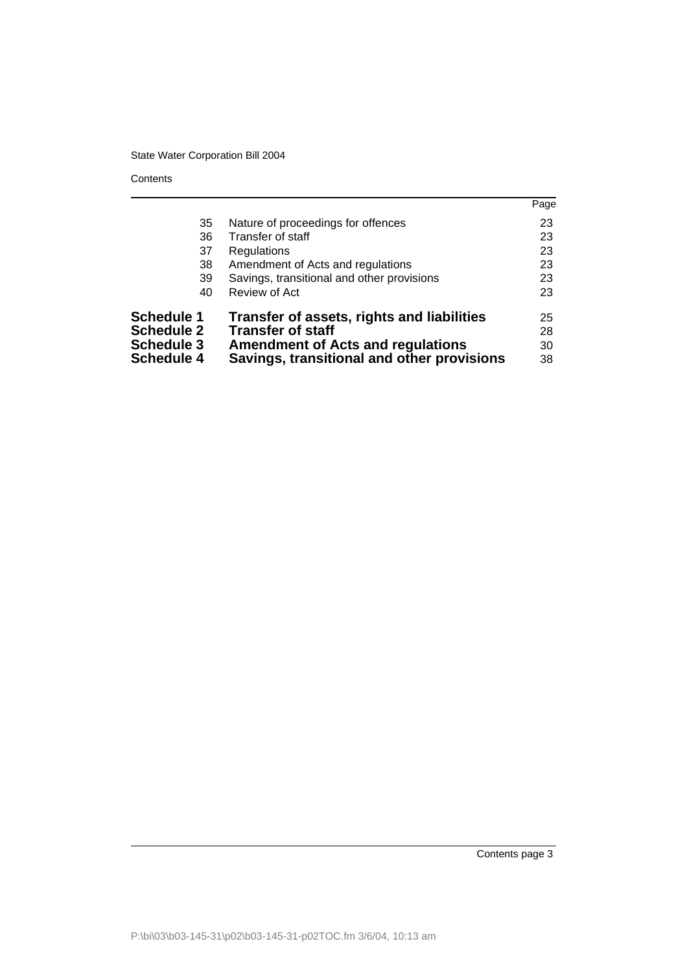**Contents** 

|                   |                                            | Page |
|-------------------|--------------------------------------------|------|
| 35                | Nature of proceedings for offences         | 23   |
| 36                | Transfer of staff                          | 23   |
| 37                | <b>Regulations</b>                         | 23   |
| 38                | Amendment of Acts and regulations          | 23   |
| 39                | Savings, transitional and other provisions | 23   |
| 40                | Review of Act                              | 23   |
| <b>Schedule 1</b> | Transfer of assets, rights and liabilities | 25   |
| <b>Schedule 2</b> | <b>Transfer of staff</b>                   | 28   |
| <b>Schedule 3</b> | <b>Amendment of Acts and regulations</b>   | 30   |
| <b>Schedule 4</b> | Savings, transitional and other provisions | 38   |

Contents page 3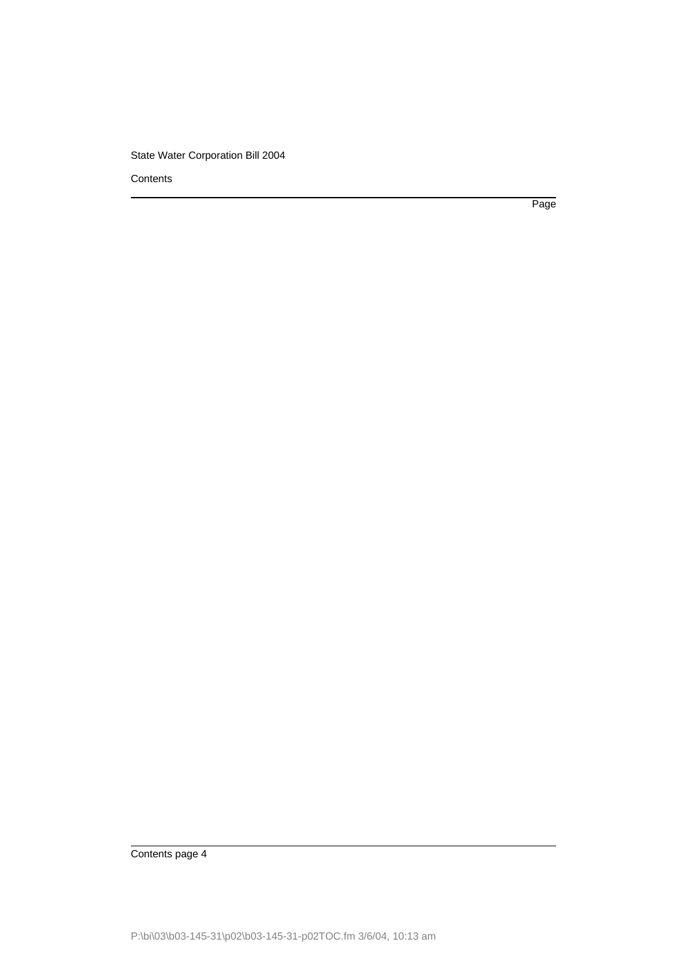**Contents** 

Page

Contents page 4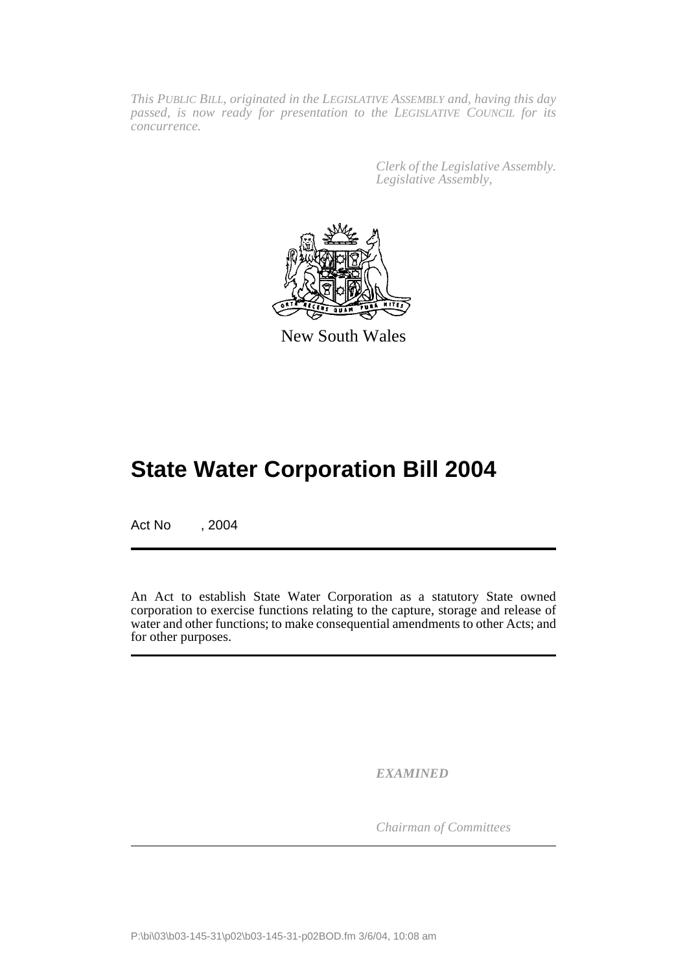*This PUBLIC BILL, originated in the LEGISLATIVE ASSEMBLY and, having this day passed, is now ready for presentation to the LEGISLATIVE COUNCIL for its concurrence.*

> *Clerk of the Legislative Assembly. Legislative Assembly,*



New South Wales

# **State Water Corporation Bill 2004**

Act No , 2004

An Act to establish State Water Corporation as a statutory State owned corporation to exercise functions relating to the capture, storage and release of water and other functions; to make consequential amendments to other Acts; and for other purposes.

*EXAMINED*

*Chairman of Committees*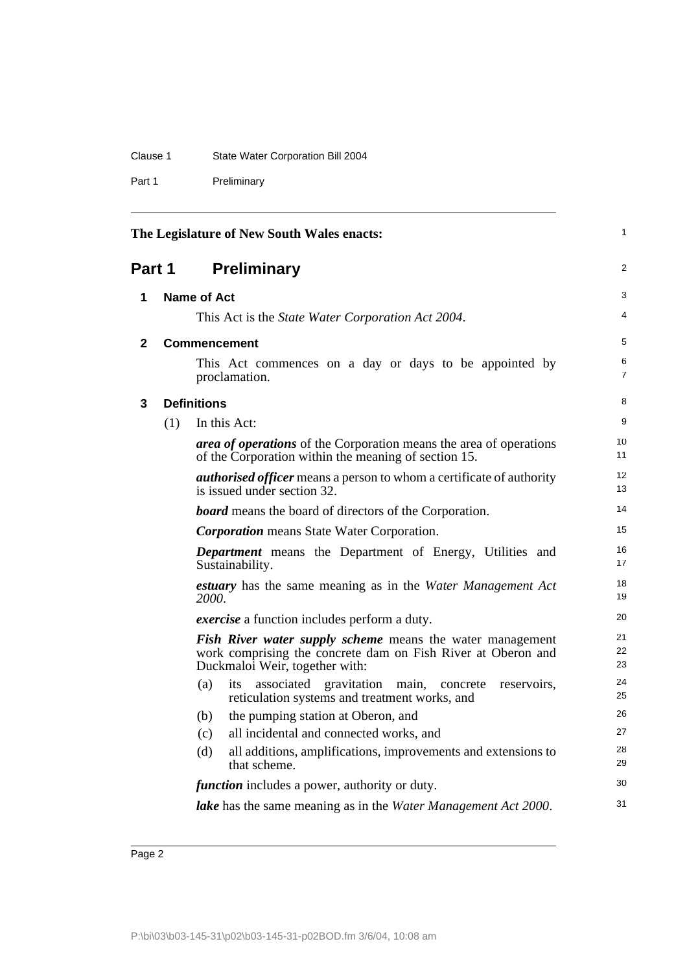## Clause 1 State Water Corporation Bill 2004

Part 1 Preliminary

<span id="page-5-3"></span><span id="page-5-2"></span><span id="page-5-1"></span><span id="page-5-0"></span>

|              | The Legislature of New South Wales enacts:                                         |                             |                                                                                                                                                                    |                     |  |
|--------------|------------------------------------------------------------------------------------|-----------------------------|--------------------------------------------------------------------------------------------------------------------------------------------------------------------|---------------------|--|
| Part 1       |                                                                                    | <b>Preliminary</b>          |                                                                                                                                                                    | 2                   |  |
| 1            |                                                                                    | Name of Act                 |                                                                                                                                                                    | 3                   |  |
|              |                                                                                    |                             | This Act is the <i>State Water Corporation Act 2004</i> .                                                                                                          | 4                   |  |
| $\mathbf{2}$ |                                                                                    | <b>Commencement</b>         |                                                                                                                                                                    | 5                   |  |
|              |                                                                                    | proclamation.               | This Act commences on a day or days to be appointed by                                                                                                             | 6<br>$\overline{7}$ |  |
| 3            |                                                                                    | <b>Definitions</b>          |                                                                                                                                                                    | 8                   |  |
|              | (1)                                                                                | In this Act:                |                                                                                                                                                                    | 9                   |  |
|              |                                                                                    |                             | area of operations of the Corporation means the area of operations<br>of the Corporation within the meaning of section 15.                                         | 10<br>11            |  |
|              |                                                                                    | is issued under section 32. | <i>authorised officer</i> means a person to whom a certificate of authority                                                                                        | 12<br>13            |  |
|              |                                                                                    |                             | <b>board</b> means the board of directors of the Corporation.                                                                                                      | 14                  |  |
|              |                                                                                    |                             | <b>Corporation</b> means State Water Corporation.                                                                                                                  | 15                  |  |
|              |                                                                                    | Sustainability.             | <b>Department</b> means the Department of Energy, Utilities and                                                                                                    | 16<br>17            |  |
|              | <i>estuary</i> has the same meaning as in the <i>Water Management Act</i><br>2000. |                             |                                                                                                                                                                    |                     |  |
|              |                                                                                    |                             | <i>exercise</i> a function includes perform a duty.                                                                                                                | 20                  |  |
|              |                                                                                    |                             | <b>Fish River water supply scheme</b> means the water management<br>work comprising the concrete dam on Fish River at Oberon and<br>Duckmaloi Weir, together with: | 21<br>22<br>23      |  |
|              |                                                                                    | (a)<br>its                  | associated gravitation<br>main,<br>concrete<br>reservoirs,<br>reticulation systems and treatment works, and                                                        | 24<br>25            |  |
|              |                                                                                    | (b)                         | the pumping station at Oberon, and                                                                                                                                 | 26                  |  |
|              |                                                                                    | (c)                         | all incidental and connected works, and                                                                                                                            | 27                  |  |
|              |                                                                                    | (d)<br>that scheme.         | all additions, amplifications, improvements and extensions to                                                                                                      | 28<br>29            |  |
|              |                                                                                    |                             | <i>function</i> includes a power, authority or duty.                                                                                                               | 30                  |  |
|              |                                                                                    |                             | lake has the same meaning as in the Water Management Act 2000.                                                                                                     | 31                  |  |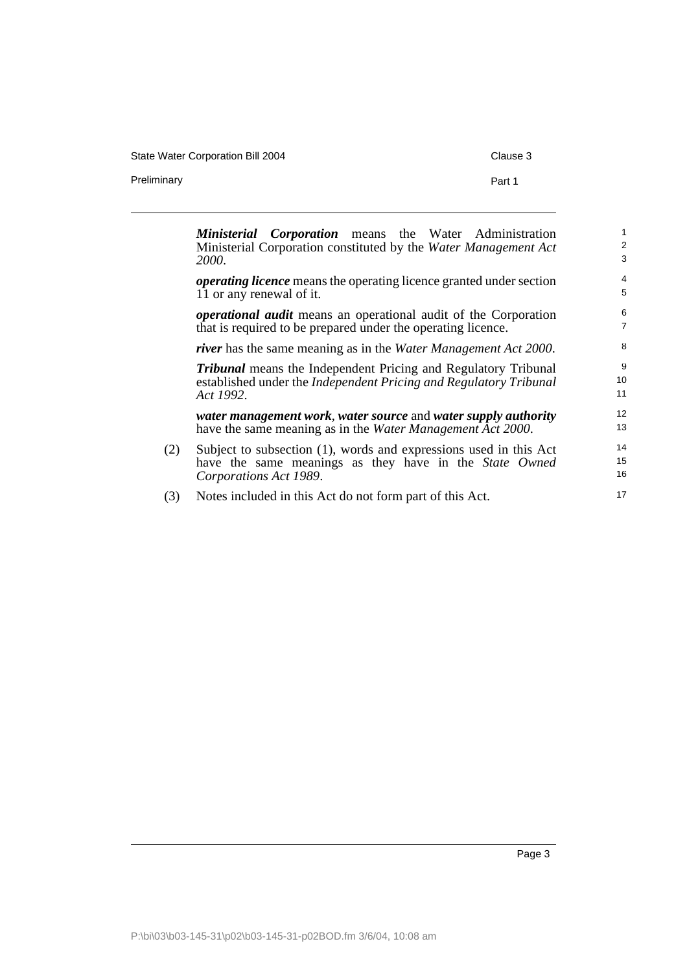State Water Corporation Bill 2004 Clause 3

Preliminary **Part 1** 

|     | <b>Ministerial Corporation</b> means the Water Administration<br>Ministerial Corporation constituted by the Water Management Act<br>2000.               | 1<br>2<br>3         |
|-----|---------------------------------------------------------------------------------------------------------------------------------------------------------|---------------------|
|     | <i>operating licence</i> means the operating licence granted under section<br>11 or any renewal of it.                                                  | 4<br>5              |
|     | <i>operational audit</i> means an operational audit of the Corporation<br>that is required to be prepared under the operating licence.                  | 6<br>$\overline{7}$ |
|     | river has the same meaning as in the Water Management Act 2000.                                                                                         | 8                   |
|     | <b>Tribunal</b> means the Independent Pricing and Regulatory Tribunal<br>established under the Independent Pricing and Regulatory Tribunal<br>Act 1992. | 9<br>10<br>11       |
|     | water management work, water source and water supply authority<br>have the same meaning as in the Water Management Act 2000.                            | 12<br>13            |
| (2) | Subject to subsection (1), words and expressions used in this Act<br>have the same meanings as they have in the State Owned<br>Corporations Act 1989.   | 14<br>15<br>16      |
| (3) | Notes included in this Act do not form part of this Act.                                                                                                | 17                  |
|     |                                                                                                                                                         |                     |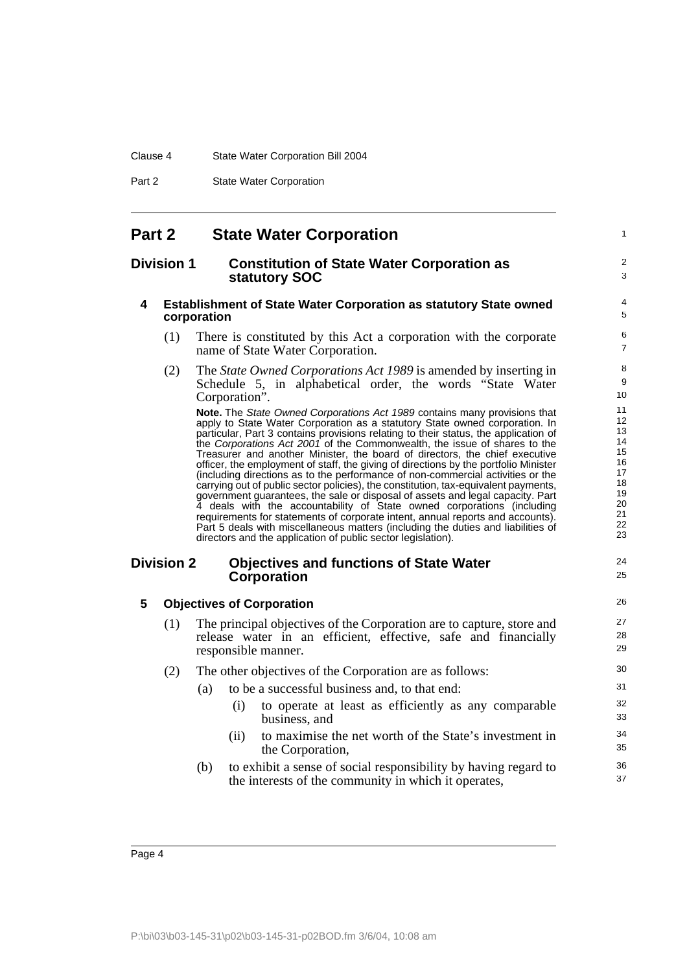#### Clause 4 State Water Corporation Bill 2004

Part 2 **State Water Corporation** 

## <span id="page-7-0"></span>**Part 2 State Water Corporation**

## <span id="page-7-1"></span>**Division 1 Constitution of State Water Corporation as statutory SOC**

#### <span id="page-7-2"></span>**4 Establishment of State Water Corporation as statutory State owned corporation**

(1) There is constituted by this Act a corporation with the corporate name of State Water Corporation.

1

 $\overline{2}$ 3

24 25

(2) The *State Owned Corporations Act 1989* is amended by inserting in Schedule 5, in alphabetical order, the words "State Water Corporation".

**Note.** The *State Owned Corporations Act 1989* contains many provisions that apply to State Water Corporation as a statutory State owned corporation. In particular, Part 3 contains provisions relating to their status, the application of the *Corporations Act 2001* of the Commonwealth, the issue of shares to the Treasurer and another Minister, the board of directors, the chief executive officer, the employment of staff, the giving of directions by the portfolio Minister (including directions as to the performance of non-commercial activities or the carrying out of public sector policies), the constitution, tax-equivalent payments, government guarantees, the sale or disposal of assets and legal capacity. Part 4 deals with the accountability of State owned corporations (including requirements for statements of corporate intent, annual reports and accounts). Part 5 deals with miscellaneous matters (including the duties and liabilities of directors and the application of public sector legislation).

### <span id="page-7-3"></span>**Division 2 Objectives and functions of State Water Corporation**

## <span id="page-7-4"></span>**5 Objectives of Corporation**

- (1) The principal objectives of the Corporation are to capture, store and release water in an efficient, effective, safe and financially responsible manner.
- (2) The other objectives of the Corporation are as follows:
	- (a) to be a successful business and, to that end:
		- (i) to operate at least as efficiently as any comparable business, and
		- (ii) to maximise the net worth of the State's investment in the Corporation,
	- (b) to exhibit a sense of social responsibility by having regard to the interests of the community in which it operates,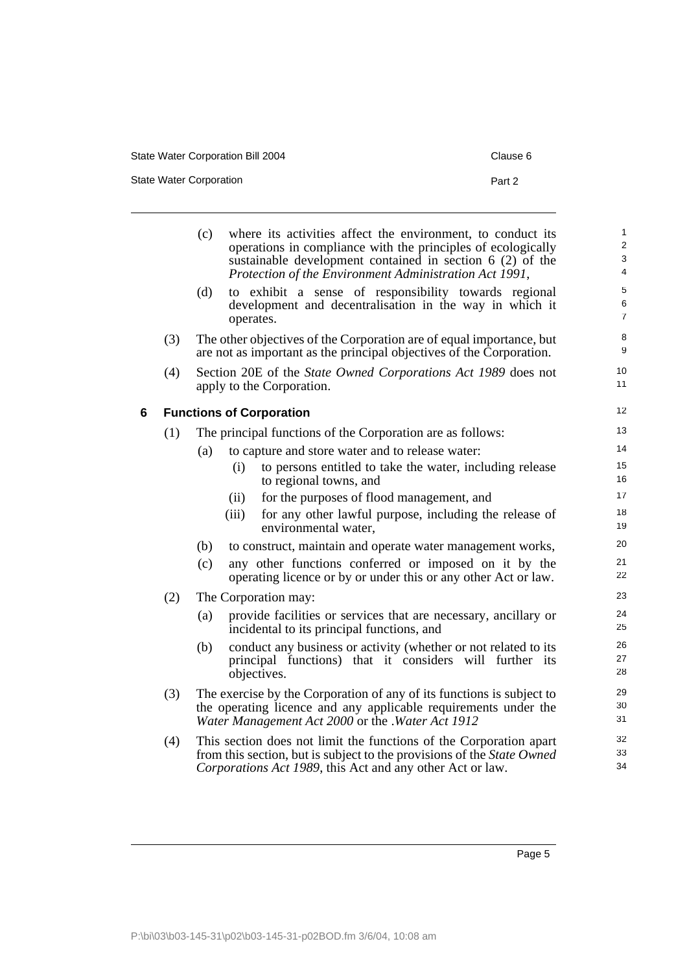State Water Corporation **Part 2** 

<span id="page-8-0"></span>

|   |     | (c)<br>where its activities affect the environment, to conduct its<br>operations in compliance with the principles of ecologically<br>sustainable development contained in section $6(2)$ of the<br>Protection of the Environment Administration Act 1991, | 1<br>$\overline{2}$<br>3<br>$\overline{4}$ |
|---|-----|------------------------------------------------------------------------------------------------------------------------------------------------------------------------------------------------------------------------------------------------------------|--------------------------------------------|
|   |     | (d)<br>to exhibit a sense of responsibility towards regional<br>development and decentralisation in the way in which it<br>operates.                                                                                                                       | 5<br>$\,6\,$<br>$\overline{7}$             |
|   | (3) | The other objectives of the Corporation are of equal importance, but<br>are not as important as the principal objectives of the Corporation.                                                                                                               | $\bf 8$<br>9                               |
|   | (4) | Section 20E of the State Owned Corporations Act 1989 does not<br>apply to the Corporation.                                                                                                                                                                 | 10<br>11                                   |
| 6 |     | <b>Functions of Corporation</b>                                                                                                                                                                                                                            | 12                                         |
|   | (1) | The principal functions of the Corporation are as follows:                                                                                                                                                                                                 | 13                                         |
|   |     | to capture and store water and to release water:<br>(a)                                                                                                                                                                                                    | 14                                         |
|   |     | (i)<br>to persons entitled to take the water, including release<br>to regional towns, and                                                                                                                                                                  | 15<br>16                                   |
|   |     | for the purposes of flood management, and<br>(ii)                                                                                                                                                                                                          | 17                                         |
|   |     | for any other lawful purpose, including the release of<br>(iii)<br>environmental water,                                                                                                                                                                    | 18<br>19                                   |
|   |     | (b)<br>to construct, maintain and operate water management works,                                                                                                                                                                                          | 20                                         |
|   |     | any other functions conferred or imposed on it by the<br>(c)<br>operating licence or by or under this or any other Act or law.                                                                                                                             | 21<br>22                                   |
|   | (2) | The Corporation may:                                                                                                                                                                                                                                       | 23                                         |
|   |     | provide facilities or services that are necessary, ancillary or<br>(a)<br>incidental to its principal functions, and                                                                                                                                       | 24<br>25                                   |
|   |     | conduct any business or activity (whether or not related to its<br>(b)<br>principal functions) that it considers will further its<br>objectives.                                                                                                           | 26<br>27<br>28                             |
|   | (3) | The exercise by the Corporation of any of its functions is subject to<br>the operating licence and any applicable requirements under the<br>Water Management Act 2000 or the .Water Act 1912                                                               | 29<br>30<br>31                             |
|   | (4) | This section does not limit the functions of the Corporation apart<br>from this section, but is subject to the provisions of the State Owned<br>Corporations Act 1989, this Act and any other Act or law.                                                  | 32<br>33<br>34                             |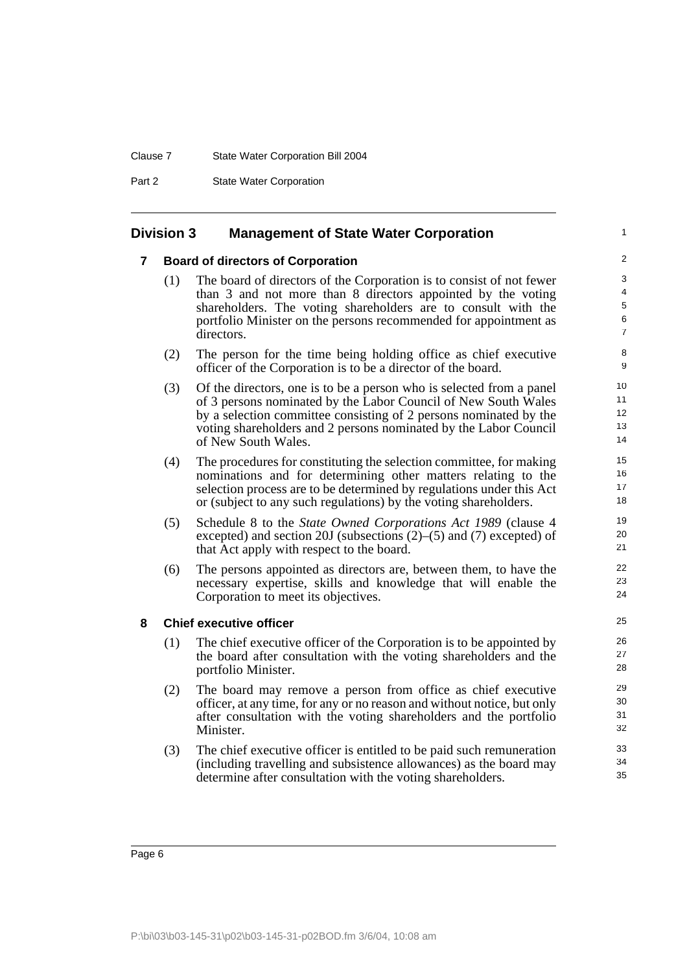#### Clause 7 State Water Corporation Bill 2004

Part 2 **State Water Corporation** 

## <span id="page-9-1"></span><span id="page-9-0"></span>**Division 3 Management of State Water Corporation**

### **7 Board of directors of Corporation**

(1) The board of directors of the Corporation is to consist of not fewer than 3 and not more than 8 directors appointed by the voting shareholders. The voting shareholders are to consult with the portfolio Minister on the persons recommended for appointment as directors.

1

- (2) The person for the time being holding office as chief executive officer of the Corporation is to be a director of the board.
- (3) Of the directors, one is to be a person who is selected from a panel of 3 persons nominated by the Labor Council of New South Wales by a selection committee consisting of 2 persons nominated by the voting shareholders and 2 persons nominated by the Labor Council of New South Wales.
- (4) The procedures for constituting the selection committee, for making nominations and for determining other matters relating to the selection process are to be determined by regulations under this Act or (subject to any such regulations) by the voting shareholders.
- (5) Schedule 8 to the *State Owned Corporations Act 1989* (clause 4 excepted) and section 20J (subsections (2)–(5) and (7) excepted) of that Act apply with respect to the board.
- (6) The persons appointed as directors are, between them, to have the necessary expertise, skills and knowledge that will enable the Corporation to meet its objectives.

#### <span id="page-9-2"></span>**8 Chief executive officer**

- (1) The chief executive officer of the Corporation is to be appointed by the board after consultation with the voting shareholders and the portfolio Minister.
- (2) The board may remove a person from office as chief executive officer, at any time, for any or no reason and without notice, but only after consultation with the voting shareholders and the portfolio Minister.
- (3) The chief executive officer is entitled to be paid such remuneration (including travelling and subsistence allowances) as the board may determine after consultation with the voting shareholders.

P:\bi\03\b03-145-31\p02\b03-145-31-p02BOD.fm 3/6/04, 10:08 am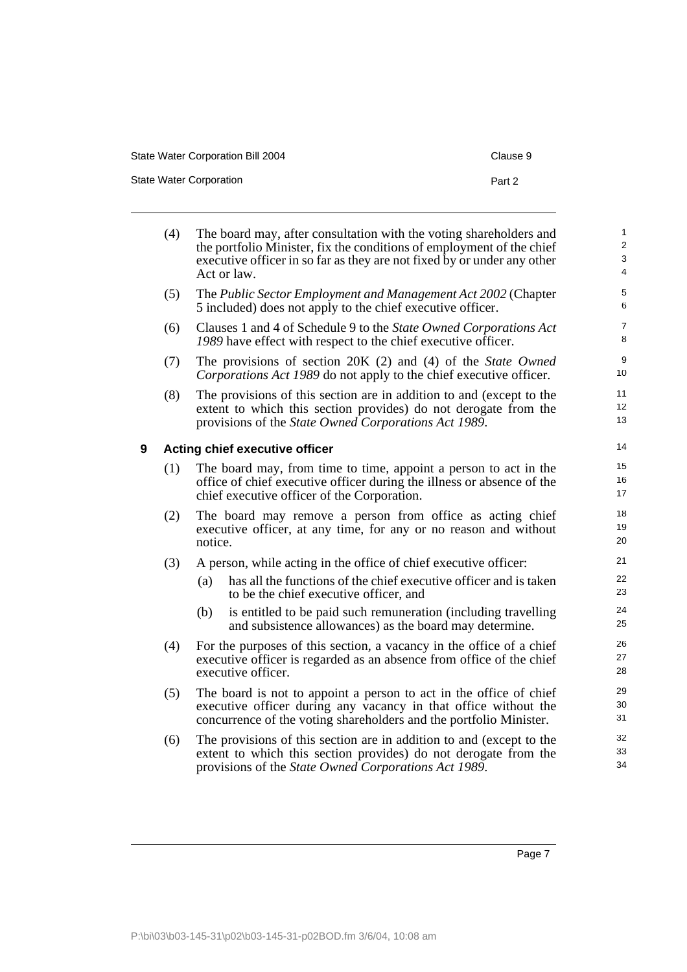State Water Corporation **Part 2** 

<span id="page-10-0"></span>

| 1<br>$\overline{2}$<br>3<br>4 | The board may, after consultation with the voting shareholders and<br>the portfolio Minister, fix the conditions of employment of the chief<br>executive officer in so far as they are not fixed by or under any other<br>Act or law. | (4) |   |
|-------------------------------|---------------------------------------------------------------------------------------------------------------------------------------------------------------------------------------------------------------------------------------|-----|---|
| 5<br>6                        | The Public Sector Employment and Management Act 2002 (Chapter<br>5 included) does not apply to the chief executive officer.                                                                                                           | (5) |   |
| 7<br>8                        | Clauses 1 and 4 of Schedule 9 to the State Owned Corporations Act<br>1989 have effect with respect to the chief executive officer.                                                                                                    | (6) |   |
| 9<br>10                       | The provisions of section $20K(2)$ and (4) of the <i>State Owned</i><br>Corporations Act 1989 do not apply to the chief executive officer.                                                                                            | (7) |   |
| 11<br>12<br>13                | The provisions of this section are in addition to and (except to the<br>extent to which this section provides) do not derogate from the<br>provisions of the State Owned Corporations Act 1989.                                       | (8) |   |
| 14                            | Acting chief executive officer                                                                                                                                                                                                        |     | 9 |
| 15<br>16<br>17                | The board may, from time to time, appoint a person to act in the<br>office of chief executive officer during the illness or absence of the<br>chief executive officer of the Corporation.                                             | (1) |   |
| 18<br>19<br>20                | The board may remove a person from office as acting chief<br>executive officer, at any time, for any or no reason and without<br>notice.                                                                                              | (2) |   |
| 21                            | A person, while acting in the office of chief executive officer:                                                                                                                                                                      | (3) |   |
| 22<br>23                      | has all the functions of the chief executive officer and is taken<br>(a)<br>to be the chief executive officer, and                                                                                                                    |     |   |
| 24<br>25                      | (b)<br>is entitled to be paid such remuneration (including travelling)<br>and subsistence allowances) as the board may determine.                                                                                                     |     |   |
| 26<br>27<br>28                | For the purposes of this section, a vacancy in the office of a chief<br>executive officer is regarded as an absence from office of the chief<br>executive officer.                                                                    | (4) |   |
| 29<br>30<br>31                | The board is not to appoint a person to act in the office of chief<br>executive officer during any vacancy in that office without the<br>concurrence of the voting shareholders and the portfolio Minister.                           | (5) |   |
| 32<br>33<br>34                | The provisions of this section are in addition to and (except to the<br>extent to which this section provides) do not derogate from the<br>provisions of the State Owned Corporations Act 1989.                                       | (6) |   |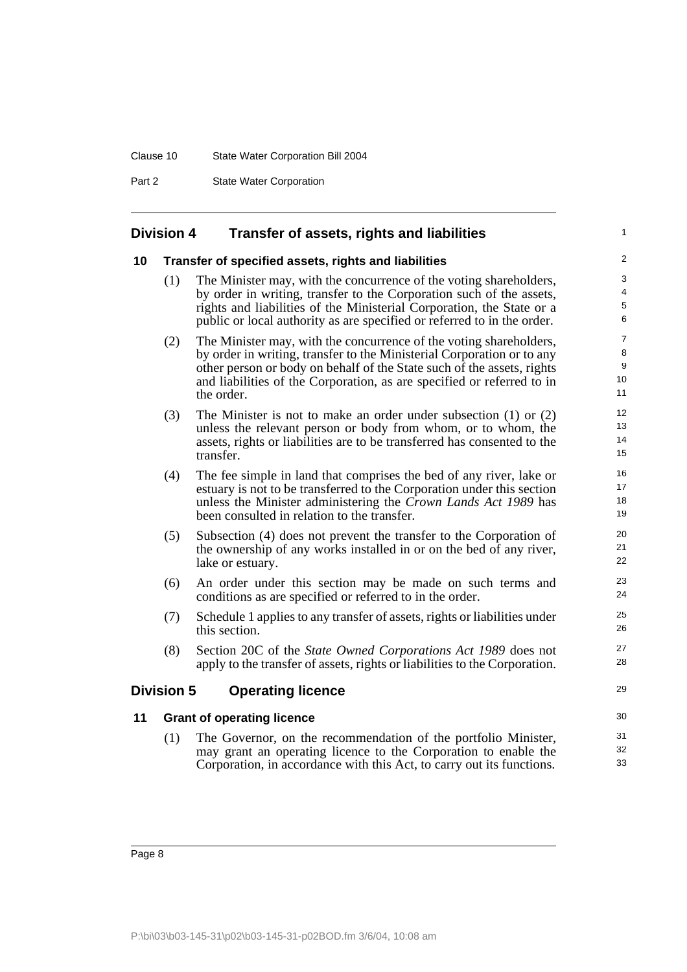#### Clause 10 State Water Corporation Bill 2004

Part 2 **State Water Corporation** 

### <span id="page-11-0"></span>**Division 4 Transfer of assets, rights and liabilities**

#### <span id="page-11-1"></span>**10 Transfer of specified assets, rights and liabilities**

(1) The Minister may, with the concurrence of the voting shareholders, by order in writing, transfer to the Corporation such of the assets, rights and liabilities of the Ministerial Corporation, the State or a public or local authority as are specified or referred to in the order.

1

29

- (2) The Minister may, with the concurrence of the voting shareholders, by order in writing, transfer to the Ministerial Corporation or to any other person or body on behalf of the State such of the assets, rights and liabilities of the Corporation, as are specified or referred to in the order.
- (3) The Minister is not to make an order under subsection (1) or (2) unless the relevant person or body from whom, or to whom, the assets, rights or liabilities are to be transferred has consented to the transfer.
- (4) The fee simple in land that comprises the bed of any river, lake or estuary is not to be transferred to the Corporation under this section unless the Minister administering the *Crown Lands Act 1989* has been consulted in relation to the transfer.
- (5) Subsection (4) does not prevent the transfer to the Corporation of the ownership of any works installed in or on the bed of any river, lake or estuary.
- (6) An order under this section may be made on such terms and conditions as are specified or referred to in the order.
- (7) Schedule 1 applies to any transfer of assets, rights or liabilities under this section.
- (8) Section 20C of the *State Owned Corporations Act 1989* does not apply to the transfer of assets, rights or liabilities to the Corporation.

#### <span id="page-11-2"></span>**Division 5 Operating licence**

#### <span id="page-11-3"></span>**11 Grant of operating licence**

(1) The Governor, on the recommendation of the portfolio Minister, may grant an operating licence to the Corporation to enable the Corporation, in accordance with this Act, to carry out its functions.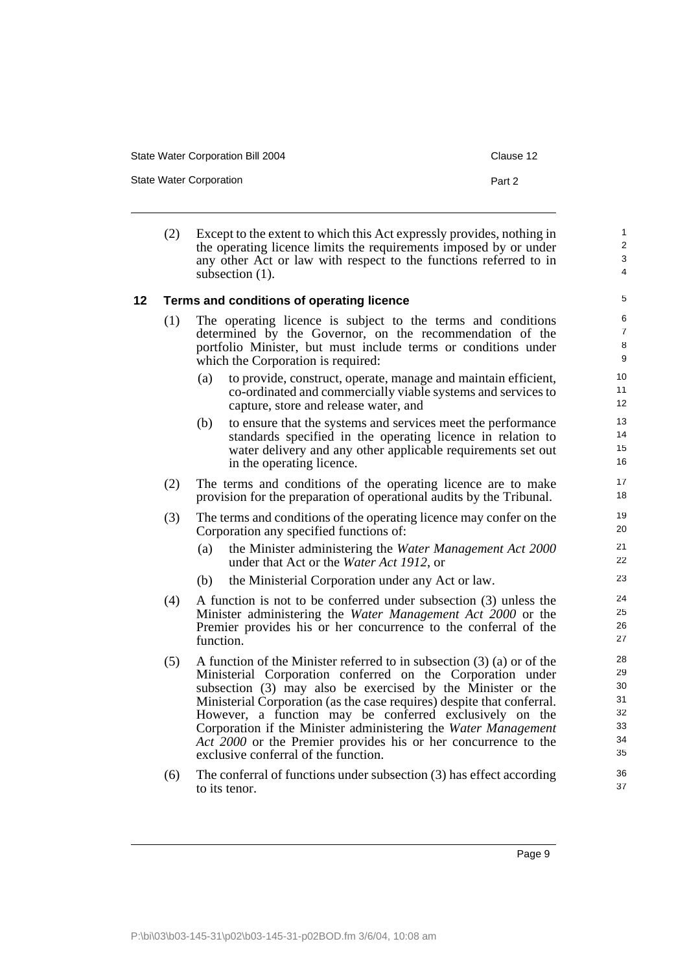State Water Corporation Bill 2004 Clause 12

State Water Corporation **Part 2** 

(2) Except to the extent to which this Act expressly provides, nothing in the operating licence limits the requirements imposed by or under any other Act or law with respect to the functions referred to in subsection  $(1)$ .

#### <span id="page-12-0"></span>**12 Terms and conditions of operating licence**

- (1) The operating licence is subject to the terms and conditions determined by the Governor, on the recommendation of the portfolio Minister, but must include terms or conditions under which the Corporation is required:
	- (a) to provide, construct, operate, manage and maintain efficient, co-ordinated and commercially viable systems and services to capture, store and release water, and
	- (b) to ensure that the systems and services meet the performance standards specified in the operating licence in relation to water delivery and any other applicable requirements set out in the operating licence.
- (2) The terms and conditions of the operating licence are to make provision for the preparation of operational audits by the Tribunal.
- (3) The terms and conditions of the operating licence may confer on the Corporation any specified functions of:
	- (a) the Minister administering the *Water Management Act 2000* under that Act or the *Water Act 1912*, or
	- (b) the Ministerial Corporation under any Act or law.
- (4) A function is not to be conferred under subsection (3) unless the Minister administering the *Water Management Act 2000* or the Premier provides his or her concurrence to the conferral of the function.
- (5) A function of the Minister referred to in subsection  $(3)$  (a) or of the Ministerial Corporation conferred on the Corporation under subsection (3) may also be exercised by the Minister or the Ministerial Corporation (as the case requires) despite that conferral. However, a function may be conferred exclusively on the Corporation if the Minister administering the *Water Management Act 2000* or the Premier provides his or her concurrence to the exclusive conferral of the function.
- (6) The conferral of functions under subsection (3) has effect according to its tenor.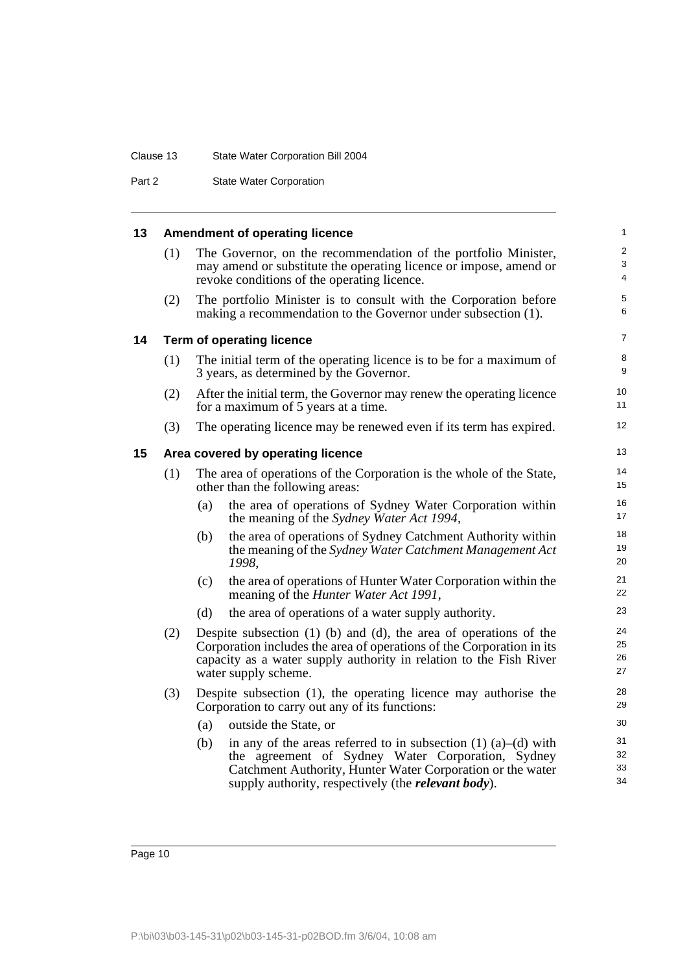## Clause 13 State Water Corporation Bill 2004

Part 2 **State Water Corporation** 

<span id="page-13-2"></span><span id="page-13-1"></span><span id="page-13-0"></span>

| 13 |     |     | <b>Amendment of operating licence</b>                                                                                                                                                                                                                    | $\mathbf{1}$         |
|----|-----|-----|----------------------------------------------------------------------------------------------------------------------------------------------------------------------------------------------------------------------------------------------------------|----------------------|
|    | (1) |     | The Governor, on the recommendation of the portfolio Minister,<br>may amend or substitute the operating licence or impose, amend or<br>revoke conditions of the operating licence.                                                                       | 2<br>3<br>4          |
|    | (2) |     | The portfolio Minister is to consult with the Corporation before<br>making a recommendation to the Governor under subsection (1).                                                                                                                        | 5<br>6               |
| 14 |     |     | <b>Term of operating licence</b>                                                                                                                                                                                                                         | $\overline{7}$       |
|    | (1) |     | The initial term of the operating licence is to be for a maximum of<br>3 years, as determined by the Governor.                                                                                                                                           | 8<br>9               |
|    | (2) |     | After the initial term, the Governor may renew the operating licence<br>for a maximum of 5 years at a time.                                                                                                                                              | 10<br>11             |
|    | (3) |     | The operating licence may be renewed even if its term has expired.                                                                                                                                                                                       | 12                   |
| 15 |     |     | Area covered by operating licence                                                                                                                                                                                                                        | 13                   |
|    | (1) |     | The area of operations of the Corporation is the whole of the State,<br>other than the following areas:                                                                                                                                                  | 14<br>15             |
|    |     | (a) | the area of operations of Sydney Water Corporation within<br>the meaning of the Sydney Water Act 1994,                                                                                                                                                   | 16<br>17             |
|    |     | (b) | the area of operations of Sydney Catchment Authority within<br>the meaning of the Sydney Water Catchment Management Act<br>1998,                                                                                                                         | 18<br>19<br>20       |
|    |     | (c) | the area of operations of Hunter Water Corporation within the<br>meaning of the <i>Hunter Water Act 1991</i> ,                                                                                                                                           | 21<br>22             |
|    |     | (d) | the area of operations of a water supply authority.                                                                                                                                                                                                      | 23                   |
|    | (2) |     | Despite subsection $(1)$ $(b)$ and $(d)$ , the area of operations of the<br>Corporation includes the area of operations of the Corporation in its<br>capacity as a water supply authority in relation to the Fish River<br>water supply scheme.          | 24<br>25<br>26<br>27 |
|    | (3) |     | Despite subsection (1), the operating licence may authorise the<br>Corporation to carry out any of its functions:                                                                                                                                        | 28<br>29             |
|    |     | (a) | outside the State, or                                                                                                                                                                                                                                    | 30                   |
|    |     | (b) | in any of the areas referred to in subsection $(1)$ $(a)$ – $(d)$ with<br>the agreement of Sydney Water Corporation, Sydney<br>Catchment Authority, Hunter Water Corporation or the water<br>supply authority, respectively (the <i>relevant body</i> ). | 31<br>32<br>33<br>34 |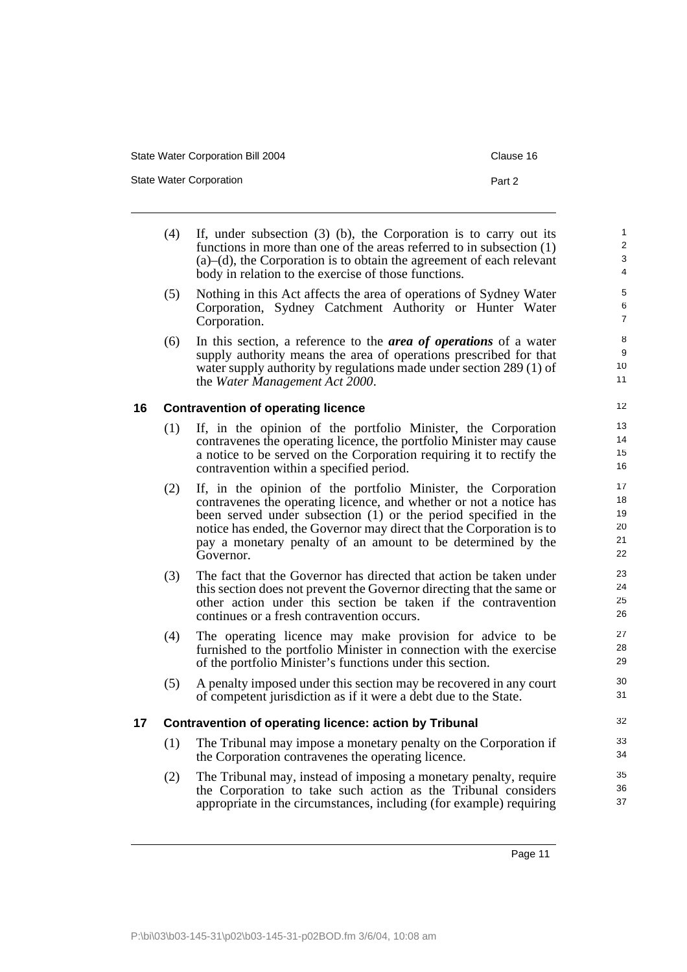State Water Corporation **Part 2** 

- <span id="page-14-0"></span>(4) If, under subsection (3) (b), the Corporation is to carry out its functions in more than one of the areas referred to in subsection (1) (a)–(d), the Corporation is to obtain the agreement of each relevant body in relation to the exercise of those functions. (5) Nothing in this Act affects the area of operations of Sydney Water Corporation, Sydney Catchment Authority or Hunter Water Corporation. (6) In this section, a reference to the *area of operations* of a water supply authority means the area of operations prescribed for that water supply authority by regulations made under section 289 (1) of the *Water Management Act 2000*. **16 Contravention of operating licence** (1) If, in the opinion of the portfolio Minister, the Corporation contravenes the operating licence, the portfolio Minister may cause a notice to be served on the Corporation requiring it to rectify the contravention within a specified period. (2) If, in the opinion of the portfolio Minister, the Corporation contravenes the operating licence, and whether or not a notice has been served under subsection (1) or the period specified in the notice has ended, the Governor may direct that the Corporation is to pay a monetary penalty of an amount to be determined by the Governor. (3) The fact that the Governor has directed that action be taken under this section does not prevent the Governor directing that the same or other action under this section be taken if the contravention continues or a fresh contravention occurs.
	- (4) The operating licence may make provision for advice to be furnished to the portfolio Minister in connection with the exercise of the portfolio Minister's functions under this section.
	- (5) A penalty imposed under this section may be recovered in any court of competent jurisdiction as if it were a debt due to the State.

## <span id="page-14-1"></span>**17 Contravention of operating licence: action by Tribunal**

- (1) The Tribunal may impose a monetary penalty on the Corporation if the Corporation contravenes the operating licence.
- (2) The Tribunal may, instead of imposing a monetary penalty, require the Corporation to take such action as the Tribunal considers appropriate in the circumstances, including (for example) requiring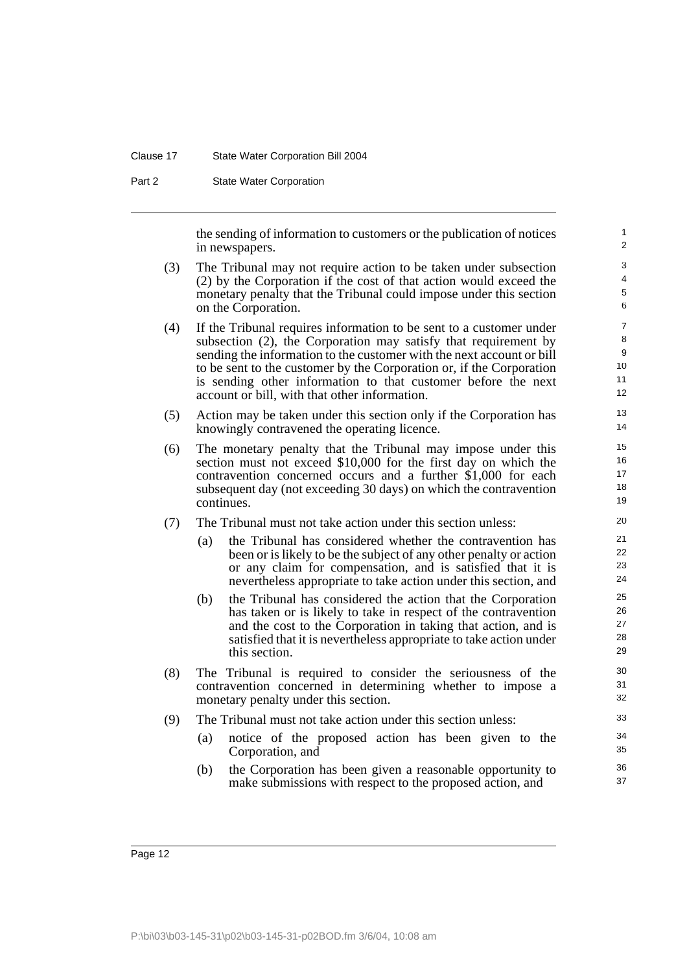#### Clause 17 State Water Corporation Bill 2004

Part 2 **State Water Corporation** 

the sending of information to customers or the publication of notices in newspapers.

- (3) The Tribunal may not require action to be taken under subsection (2) by the Corporation if the cost of that action would exceed the monetary penalty that the Tribunal could impose under this section on the Corporation.
- (4) If the Tribunal requires information to be sent to a customer under subsection (2), the Corporation may satisfy that requirement by sending the information to the customer with the next account or bill to be sent to the customer by the Corporation or, if the Corporation is sending other information to that customer before the next account or bill, with that other information.
- (5) Action may be taken under this section only if the Corporation has knowingly contravened the operating licence.
- (6) The monetary penalty that the Tribunal may impose under this section must not exceed \$10,000 for the first day on which the contravention concerned occurs and a further \$1,000 for each subsequent day (not exceeding 30 days) on which the contravention continues.
- (7) The Tribunal must not take action under this section unless:
	- (a) the Tribunal has considered whether the contravention has been or is likely to be the subject of any other penalty or action or any claim for compensation, and is satisfied that it is nevertheless appropriate to take action under this section, and
	- (b) the Tribunal has considered the action that the Corporation has taken or is likely to take in respect of the contravention and the cost to the Corporation in taking that action, and is satisfied that it is nevertheless appropriate to take action under this section.
- (8) The Tribunal is required to consider the seriousness of the contravention concerned in determining whether to impose a monetary penalty under this section.
- (9) The Tribunal must not take action under this section unless:
	- (a) notice of the proposed action has been given to the Corporation, and
	- (b) the Corporation has been given a reasonable opportunity to make submissions with respect to the proposed action, and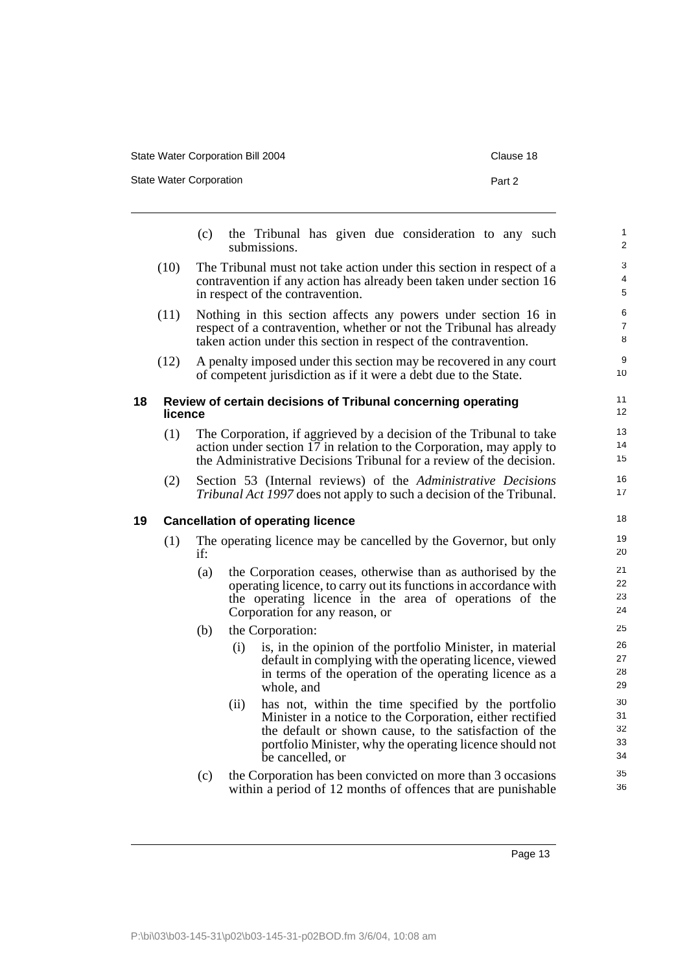| State Water Corporation Bill 2004 | Clause 18 |
|-----------------------------------|-----------|
| State Water Corporation           | Part 2    |

<span id="page-16-1"></span><span id="page-16-0"></span>

|    |         | (c) | the Tribunal has given due consideration to any such<br>submissions.                                                                        | $\mathbf{1}$<br>2   |  |
|----|---------|-----|---------------------------------------------------------------------------------------------------------------------------------------------|---------------------|--|
|    | (10)    |     | The Tribunal must not take action under this section in respect of a                                                                        | 3                   |  |
|    |         |     | contravention if any action has already been taken under section 16<br>in respect of the contravention.                                     | 4<br>5              |  |
|    | (11)    |     | Nothing in this section affects any powers under section 16 in                                                                              | 6                   |  |
|    |         |     | respect of a contravention, whether or not the Tribunal has already<br>taken action under this section in respect of the contravention.     | $\overline{7}$<br>8 |  |
|    | (12)    |     | A penalty imposed under this section may be recovered in any court<br>of competent jurisdiction as if it were a debt due to the State.      | 9<br>10             |  |
| 18 | licence |     | Review of certain decisions of Tribunal concerning operating                                                                                | 11<br>12            |  |
|    | (1)     |     | The Corporation, if aggrieved by a decision of the Tribunal to take                                                                         | 13                  |  |
|    |         |     | action under section 17 in relation to the Corporation, may apply to<br>the Administrative Decisions Tribunal for a review of the decision. | 14<br>15            |  |
|    | (2)     |     | Section 53 (Internal reviews) of the Administrative Decisions                                                                               | 16                  |  |
|    |         |     | <i>Tribunal Act 1997</i> does not apply to such a decision of the Tribunal.                                                                 | 17                  |  |
| 19 |         |     | <b>Cancellation of operating licence</b>                                                                                                    | 18                  |  |
|    | (1)     | if: | The operating licence may be cancelled by the Governor, but only                                                                            | 19<br>20            |  |
|    |         | (a) | the Corporation ceases, otherwise than as authorised by the                                                                                 | 21                  |  |
|    |         |     | operating licence, to carry out its functions in accordance with<br>the operating licence in the area of operations of the                  | 22<br>23            |  |
|    |         |     | Corporation for any reason, or                                                                                                              | 24                  |  |
|    |         | (b) | the Corporation:                                                                                                                            | 25                  |  |
|    |         |     | is, in the opinion of the portfolio Minister, in material<br>(i)                                                                            | 26                  |  |
|    |         |     | default in complying with the operating licence, viewed                                                                                     | 27<br>28            |  |
|    |         |     | in terms of the operation of the operating licence as a<br>whole, and                                                                       | 29                  |  |
|    |         |     | has not, within the time specified by the portfolio<br>(ii)                                                                                 | 30                  |  |
|    |         |     | Minister in a notice to the Corporation, either rectified                                                                                   | 31                  |  |
|    |         |     | the default or shown cause, to the satisfaction of the                                                                                      | 32<br>33            |  |
|    |         |     | portfolio Minister, why the operating licence should not<br>be cancelled, or                                                                | 34                  |  |
|    |         | (c) | the Corporation has been convicted on more than 3 occasions                                                                                 | 35                  |  |
|    |         |     | within a period of 12 months of offences that are punishable                                                                                | 36                  |  |
|    |         |     |                                                                                                                                             |                     |  |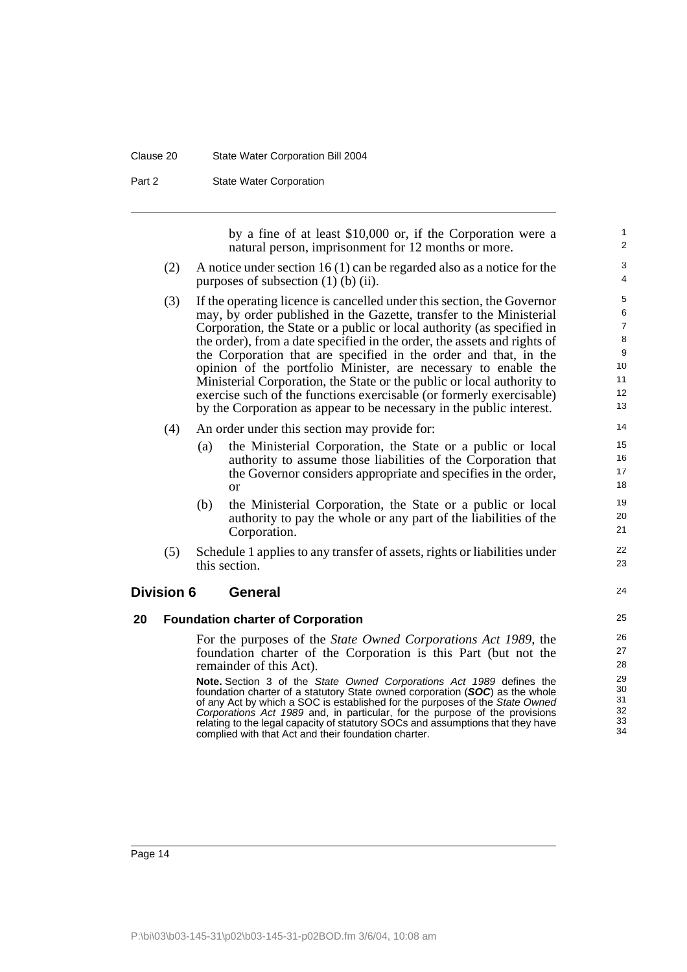#### Clause 20 State Water Corporation Bill 2004

Part 2 **State Water Corporation** 

by a fine of at least \$10,000 or, if the Corporation were a natural person, imprisonment for 12 months or more.

24

- (2) A notice under section 16 (1) can be regarded also as a notice for the purposes of subsection  $(1)$  (b)  $(ii)$ .
- (3) If the operating licence is cancelled under this section, the Governor may, by order published in the Gazette, transfer to the Ministerial Corporation, the State or a public or local authority (as specified in the order), from a date specified in the order, the assets and rights of the Corporation that are specified in the order and that, in the opinion of the portfolio Minister, are necessary to enable the Ministerial Corporation, the State or the public or local authority to exercise such of the functions exercisable (or formerly exercisable) by the Corporation as appear to be necessary in the public interest.
- (4) An order under this section may provide for:
	- (a) the Ministerial Corporation, the State or a public or local authority to assume those liabilities of the Corporation that the Governor considers appropriate and specifies in the order, or
	- (b) the Ministerial Corporation, the State or a public or local authority to pay the whole or any part of the liabilities of the Corporation.
- (5) Schedule 1 applies to any transfer of assets, rights or liabilities under this section.

#### <span id="page-17-0"></span>**Division 6 General**

#### <span id="page-17-1"></span>**20 Foundation charter of Corporation**

For the purposes of the *State Owned Corporations Act 1989*, the foundation charter of the Corporation is this Part (but not the remainder of this Act).

**Note.** Section 3 of the *State Owned Corporations Act 1989* defines the foundation charter of a statutory State owned corporation (*SOC*) as the whole of any Act by which a SOC is established for the purposes of the *State Owned Corporations Act 1989* and, in particular, for the purpose of the provisions relating to the legal capacity of statutory SOCs and assumptions that they have complied with that Act and their foundation charter.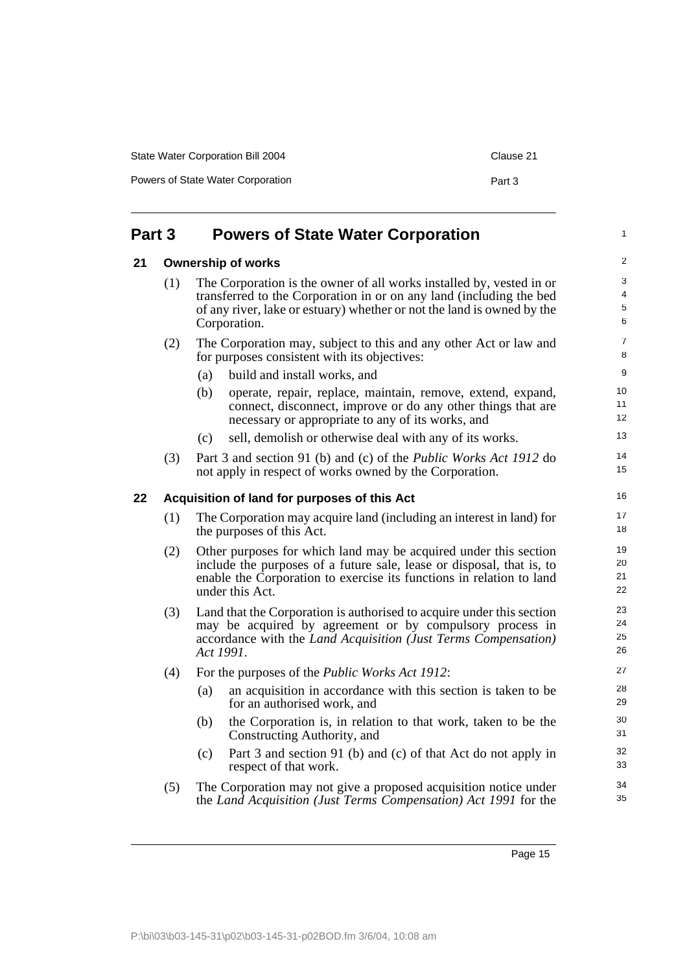Powers of State Water Corporation **Part 3** Part 3

<span id="page-18-2"></span><span id="page-18-1"></span><span id="page-18-0"></span>

| Part 3 |     | <b>Powers of State Water Corporation</b>                                                                                                                                                                                              | $\mathbf{1}$             |
|--------|-----|---------------------------------------------------------------------------------------------------------------------------------------------------------------------------------------------------------------------------------------|--------------------------|
| 21     |     | <b>Ownership of works</b>                                                                                                                                                                                                             |                          |
|        | (1) | The Corporation is the owner of all works installed by, vested in or<br>transferred to the Corporation in or on any land (including the bed<br>of any river, lake or estuary) whether or not the land is owned by the<br>Corporation. | 3<br>4<br>5<br>6         |
|        | (2) | The Corporation may, subject to this and any other Act or law and<br>for purposes consistent with its objectives:                                                                                                                     | $\overline{7}$<br>8<br>9 |
|        |     | build and install works, and<br>(a)<br>(b)<br>operate, repair, replace, maintain, remove, extend, expand,<br>connect, disconnect, improve or do any other things that are<br>necessary or appropriate to any of its works, and        | 10<br>11<br>12           |
|        | (3) | sell, demolish or otherwise deal with any of its works.<br>(c)<br>Part 3 and section 91 (b) and (c) of the <i>Public Works Act 1912</i> do<br>not apply in respect of works owned by the Corporation.                                 | 13<br>14<br>15           |
| 22     |     | Acquisition of land for purposes of this Act                                                                                                                                                                                          | 16                       |
|        | (1) | The Corporation may acquire land (including an interest in land) for<br>the purposes of this Act.                                                                                                                                     | 17<br>18                 |
|        | (2) | Other purposes for which land may be acquired under this section<br>include the purposes of a future sale, lease or disposal, that is, to<br>enable the Corporation to exercise its functions in relation to land<br>under this Act.  | 19<br>20<br>21<br>22     |
|        | (3) | Land that the Corporation is authorised to acquire under this section<br>may be acquired by agreement or by compulsory process in<br>accordance with the <i>Land Acquisition (Just Terms Compensation)</i><br>Act 1991.               | 23<br>24<br>25<br>26     |
|        | (4) | For the purposes of the <i>Public Works Act 1912</i> :                                                                                                                                                                                | 27                       |
|        |     | (a)<br>an acquisition in accordance with this section is taken to be<br>for an authorised work, and                                                                                                                                   | 28<br>29                 |
|        |     | (b)<br>the Corporation is, in relation to that work, taken to be the<br>Constructing Authority, and                                                                                                                                   | 30<br>31                 |
|        |     | Part 3 and section 91 (b) and (c) of that Act do not apply in<br>(c)<br>respect of that work.                                                                                                                                         | 32<br>33                 |
|        | (5) | The Corporation may not give a proposed acquisition notice under<br>the Land Acquisition (Just Terms Compensation) Act 1991 for the                                                                                                   | 34<br>35                 |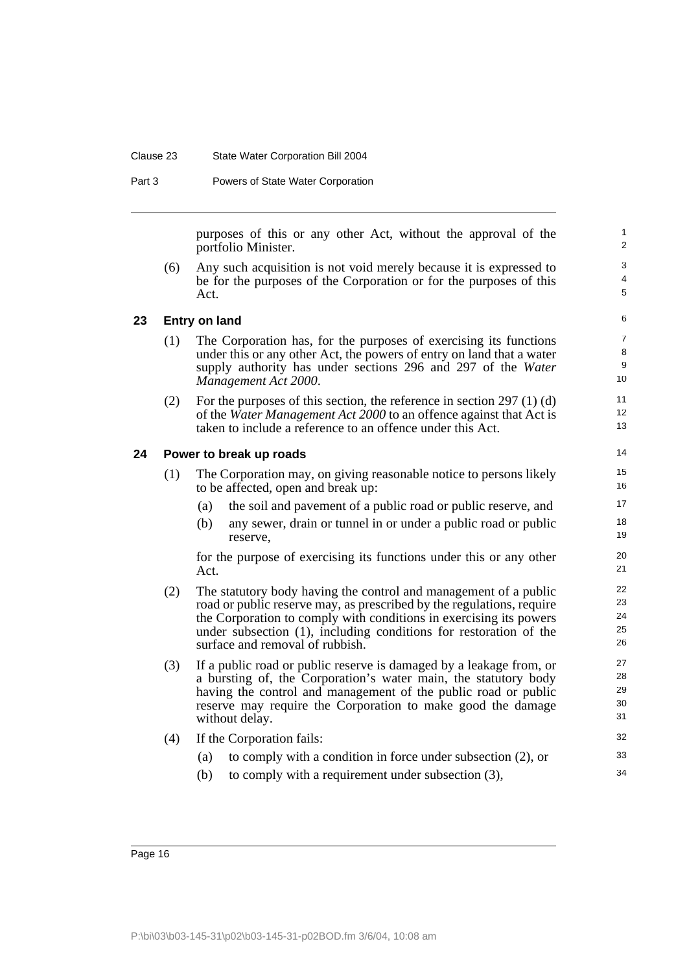#### Clause 23 State Water Corporation Bill 2004

Part 3 Powers of State Water Corporation

purposes of this or any other Act, without the approval of the portfolio Minister.

(6) Any such acquisition is not void merely because it is expressed to be for the purposes of the Corporation or for the purposes of this Act.

#### <span id="page-19-0"></span>**23 Entry on land**

- (1) The Corporation has, for the purposes of exercising its functions under this or any other Act, the powers of entry on land that a water supply authority has under sections 296 and 297 of the *Water Management Act 2000*.
- (2) For the purposes of this section, the reference in section 297 (1) (d) of the *Water Management Act 2000* to an offence against that Act is taken to include a reference to an offence under this Act.

#### <span id="page-19-1"></span>**24 Power to break up roads**

- (1) The Corporation may, on giving reasonable notice to persons likely to be affected, open and break up:
	- (a) the soil and pavement of a public road or public reserve, and
	- (b) any sewer, drain or tunnel in or under a public road or public reserve,

for the purpose of exercising its functions under this or any other Act.

- (2) The statutory body having the control and management of a public road or public reserve may, as prescribed by the regulations, require the Corporation to comply with conditions in exercising its powers under subsection (1), including conditions for restoration of the surface and removal of rubbish.
- (3) If a public road or public reserve is damaged by a leakage from, or a bursting of, the Corporation's water main, the statutory body having the control and management of the public road or public reserve may require the Corporation to make good the damage without delay.

| (4)<br>If the Corporation fails: |  |
|----------------------------------|--|
|----------------------------------|--|

- (a) to comply with a condition in force under subsection (2), or
- (b) to comply with a requirement under subsection (3),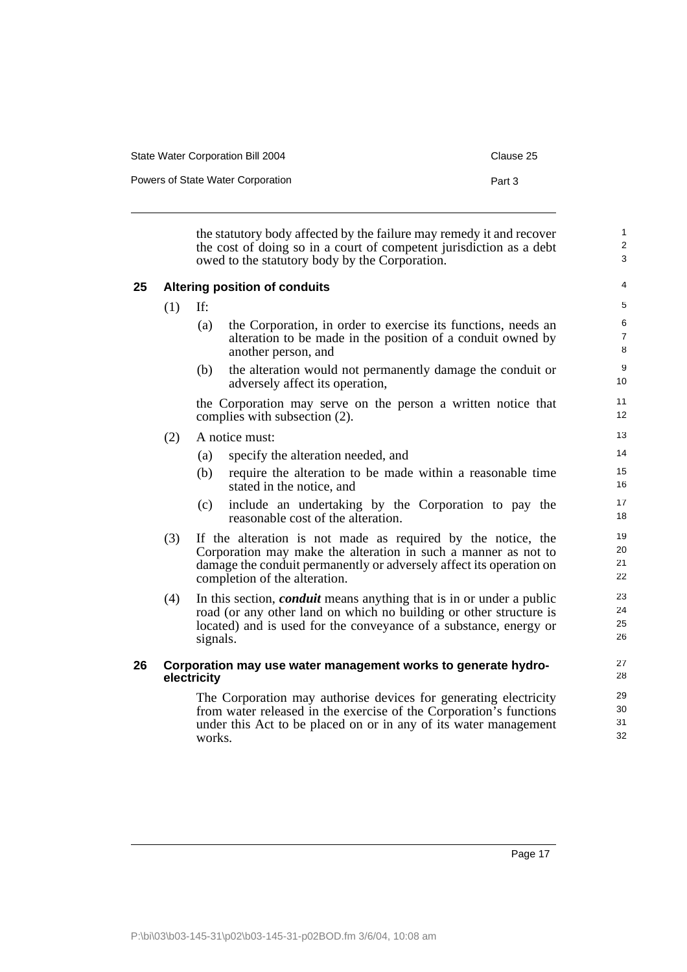| State Water Corporation Bill 2004 | Clause 25 |
|-----------------------------------|-----------|
| Powers of State Water Corporation | Part 3    |

the statutory body affected by the failure may remedy it and recover the cost of doing so in a court of competent jurisdiction as a debt owed to the statutory body by the Corporation.

## <span id="page-20-0"></span>**25 Altering position of conduits**

- (1) If:
	- (a) the Corporation, in order to exercise its functions, needs an alteration to be made in the position of a conduit owned by another person, and
	- (b) the alteration would not permanently damage the conduit or adversely affect its operation,

the Corporation may serve on the person a written notice that complies with subsection (2).

- (2) A notice must:
	- (a) specify the alteration needed, and
	- (b) require the alteration to be made within a reasonable time stated in the notice, and
	- (c) include an undertaking by the Corporation to pay the reasonable cost of the alteration.
- (3) If the alteration is not made as required by the notice, the Corporation may make the alteration in such a manner as not to damage the conduit permanently or adversely affect its operation on completion of the alteration.
- (4) In this section, *conduit* means anything that is in or under a public road (or any other land on which no building or other structure is located) and is used for the conveyance of a substance, energy or signals.

#### <span id="page-20-1"></span>**26 Corporation may use water management works to generate hydroelectricity**

The Corporation may authorise devices for generating electricity from water released in the exercise of the Corporation's functions under this Act to be placed on or in any of its water management works.

1  $\overline{2}$ 3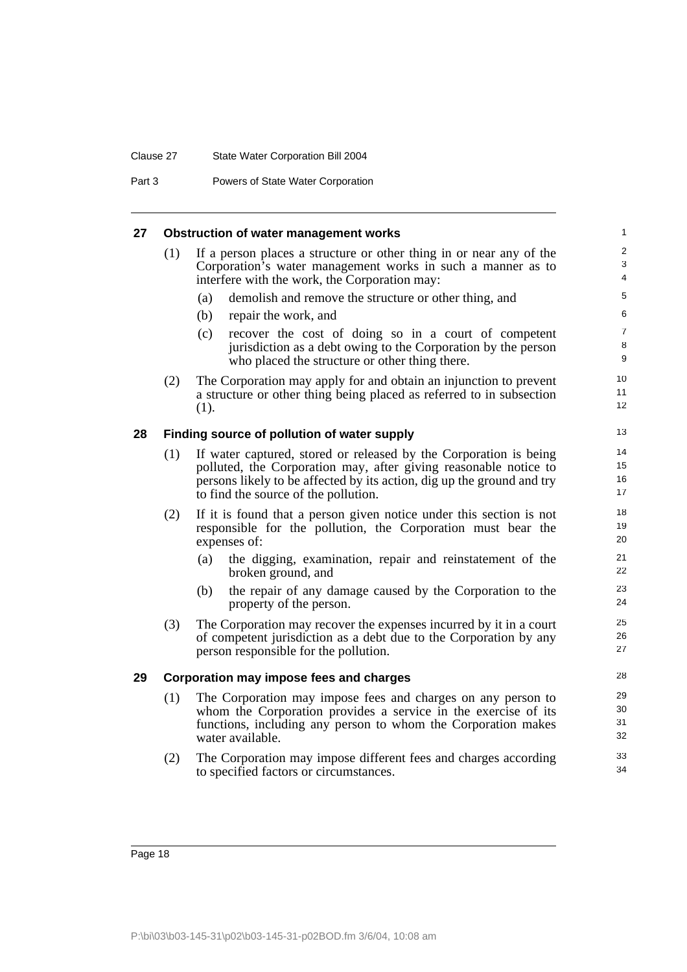#### Clause 27 State Water Corporation Bill 2004

Part 3 **Powers of State Water Corporation** 

#### <span id="page-21-2"></span><span id="page-21-1"></span><span id="page-21-0"></span>**27 Obstruction of water management works** (1) If a person places a structure or other thing in or near any of the Corporation's water management works in such a manner as to interfere with the work, the Corporation may: (a) demolish and remove the structure or other thing, and (b) repair the work, and (c) recover the cost of doing so in a court of competent jurisdiction as a debt owing to the Corporation by the person who placed the structure or other thing there. (2) The Corporation may apply for and obtain an injunction to prevent a structure or other thing being placed as referred to in subsection (1). **28 Finding source of pollution of water supply** (1) If water captured, stored or released by the Corporation is being polluted, the Corporation may, after giving reasonable notice to persons likely to be affected by its action, dig up the ground and try to find the source of the pollution. (2) If it is found that a person given notice under this section is not responsible for the pollution, the Corporation must bear the expenses of: (a) the digging, examination, repair and reinstatement of the broken ground, and (b) the repair of any damage caused by the Corporation to the property of the person. (3) The Corporation may recover the expenses incurred by it in a court of competent jurisdiction as a debt due to the Corporation by any person responsible for the pollution. **29 Corporation may impose fees and charges** (1) The Corporation may impose fees and charges on any person to whom the Corporation provides a service in the exercise of its functions, including any person to whom the Corporation makes water available. (2) The Corporation may impose different fees and charges according to specified factors or circumstances. 1  $\overline{2}$ 3 4 5 6 7 8 9 10 11 12 13 14 15 16 17 18 19 20 21 22 23 24 25 26 27 28 29 30 31 32 33 34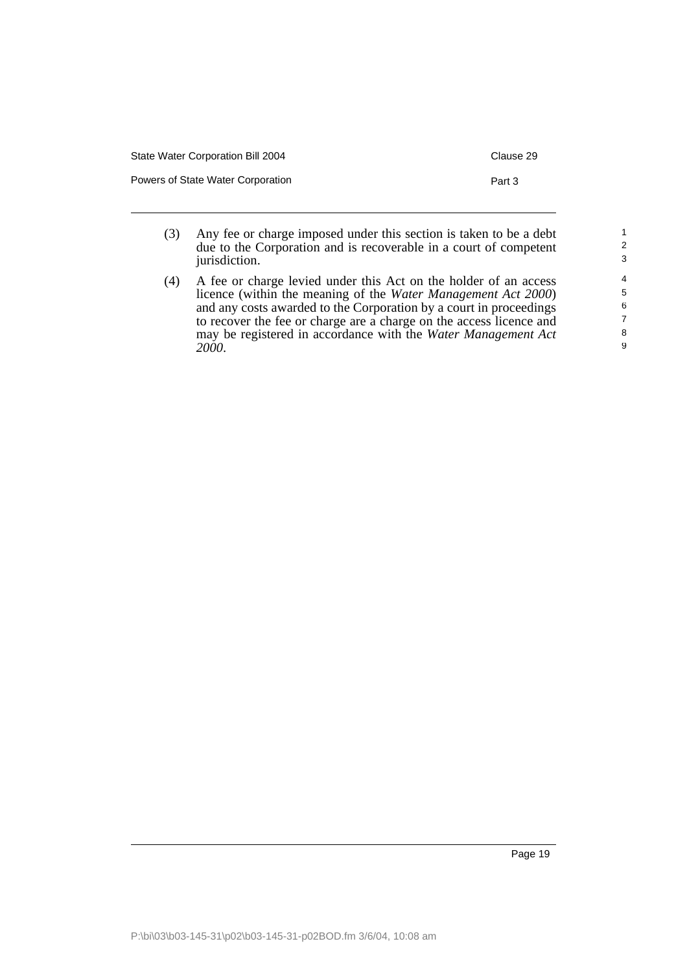| State Water Corporation Bill 2004 | Clause 29 |
|-----------------------------------|-----------|
| Powers of State Water Corporation | Part 3    |

| Any fee or charge imposed under this section is taken to be a debt |
|--------------------------------------------------------------------|
| due to the Corporation and is recoverable in a court of competent  |
| jurisdiction.                                                      |

(4) A fee or charge levied under this Act on the holder of an access licence (within the meaning of the *Water Management Act 2000*) and any costs awarded to the Corporation by a court in proceedings to recover the fee or charge are a charge on the access licence and may be registered in accordance with the *Water Management Act 2000*.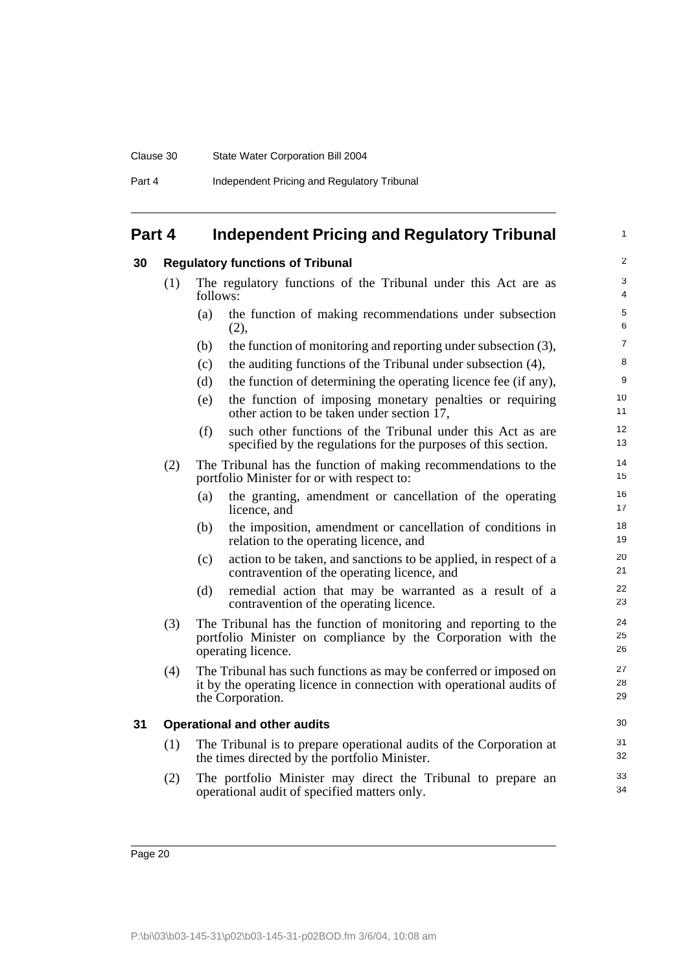#### Clause 30 State Water Corporation Bill 2004

| Part 4 | Independent Pricing and Regulatory Tribunal |
|--------|---------------------------------------------|
|--------|---------------------------------------------|

## <span id="page-23-0"></span>**Part 4 Independent Pricing and Regulatory Tribunal**

## <span id="page-23-1"></span>**30 Regulatory functions of Tribunal**

| (1) | The regulatory functions of the Tribunal under this Act are as |  |  |  |  |  |
|-----|----------------------------------------------------------------|--|--|--|--|--|
|     | follows:                                                       |  |  |  |  |  |

(a) the function of making recommendations under subsection  $(2)$ .

1

- (b) the function of monitoring and reporting under subsection (3),
- (c) the auditing functions of the Tribunal under subsection (4),
- (d) the function of determining the operating licence fee (if any),
- (e) the function of imposing monetary penalties or requiring other action to be taken under section 17,
- (f) such other functions of the Tribunal under this Act as are specified by the regulations for the purposes of this section.
- (2) The Tribunal has the function of making recommendations to the portfolio Minister for or with respect to:
	- (a) the granting, amendment or cancellation of the operating licence, and
	- (b) the imposition, amendment or cancellation of conditions in relation to the operating licence, and
	- (c) action to be taken, and sanctions to be applied, in respect of a contravention of the operating licence, and
	- (d) remedial action that may be warranted as a result of a contravention of the operating licence.
- (3) The Tribunal has the function of monitoring and reporting to the portfolio Minister on compliance by the Corporation with the operating licence.
- (4) The Tribunal has such functions as may be conferred or imposed on it by the operating licence in connection with operational audits of the Corporation.

#### <span id="page-23-2"></span>**31 Operational and other audits**

- (1) The Tribunal is to prepare operational audits of the Corporation at the times directed by the portfolio Minister.
- (2) The portfolio Minister may direct the Tribunal to prepare an operational audit of specified matters only.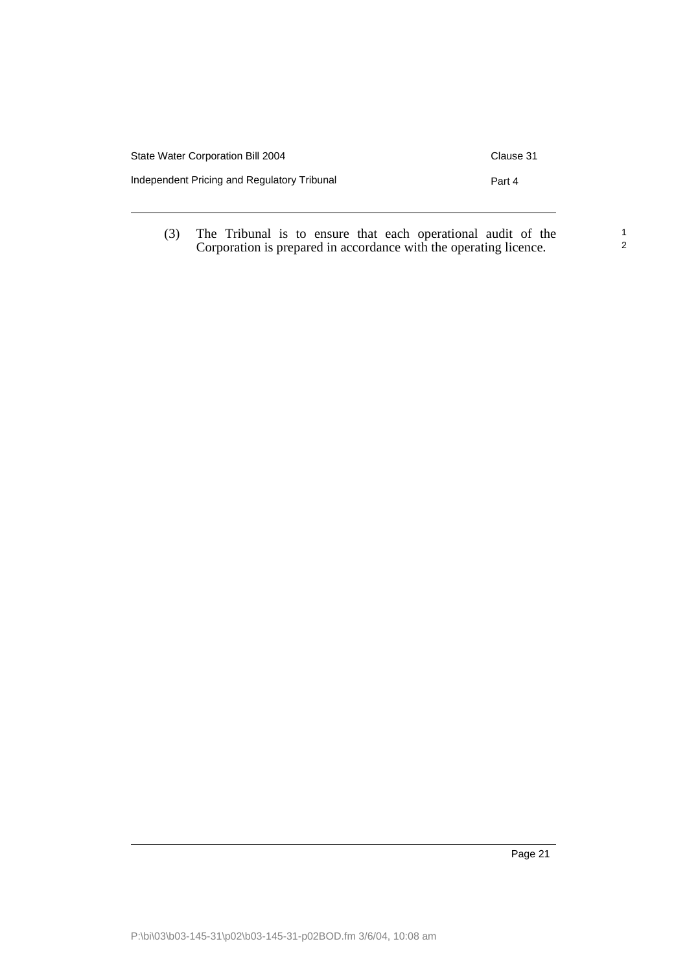| State Water Corporation Bill 2004           | Clause 31 |
|---------------------------------------------|-----------|
| Independent Pricing and Regulatory Tribunal | Part 4    |
|                                             |           |

(3) The Tribunal is to ensure that each operational audit of the Corporation is prepared in accordance with the operating licence.

1 2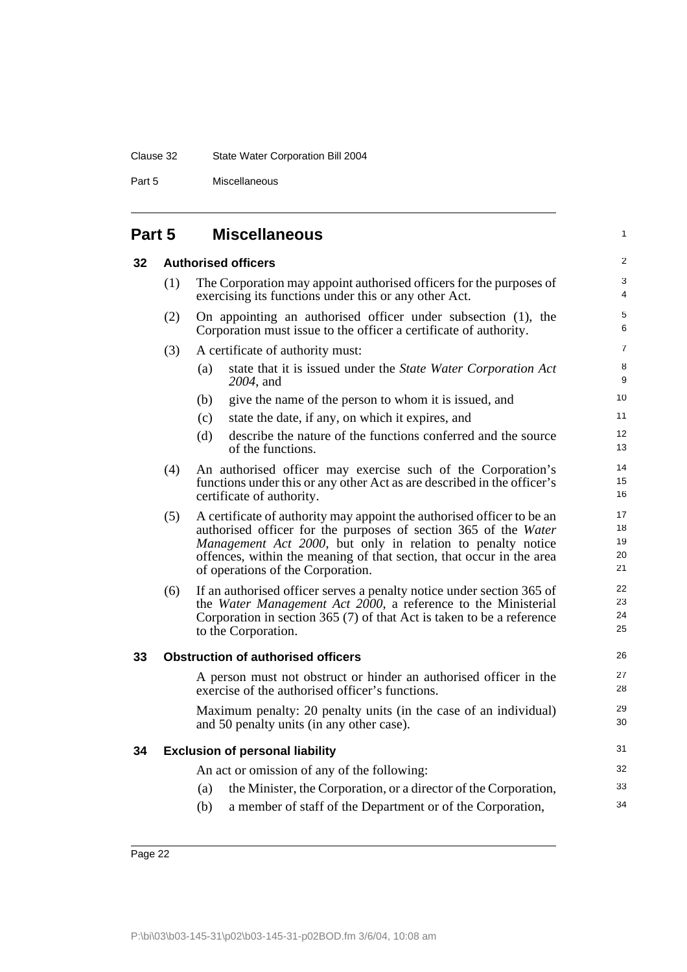#### Clause 32 State Water Corporation Bill 2004

Part 5 Miscellaneous

<span id="page-25-0"></span>

### <span id="page-25-1"></span>**32 Authorised officers**

| (1) | The Corporation may appoint authorised officers for the purposes of |
|-----|---------------------------------------------------------------------|
|     | exercising its functions under this or any other Act.               |

1

(2) On appointing an authorised officer under subsection (1), the Corporation must issue to the officer a certificate of authority.

#### (3) A certificate of authority must:

- (a) state that it is issued under the *State Water Corporation Act 2004*, and
- (b) give the name of the person to whom it is issued, and
- (c) state the date, if any, on which it expires, and
- (d) describe the nature of the functions conferred and the source of the functions.
- (4) An authorised officer may exercise such of the Corporation's functions under this or any other Act as are described in the officer's certificate of authority.
- (5) A certificate of authority may appoint the authorised officer to be an authorised officer for the purposes of section 365 of the *Water Management Act 2000*, but only in relation to penalty notice offences, within the meaning of that section, that occur in the area of operations of the Corporation.
- (6) If an authorised officer serves a penalty notice under section 365 of the *Water Management Act 2000*, a reference to the Ministerial Corporation in section 365 (7) of that Act is taken to be a reference to the Corporation.

## <span id="page-25-2"></span>**33 Obstruction of authorised officers**

A person must not obstruct or hinder an authorised officer in the exercise of the authorised officer's functions.

Maximum penalty: 20 penalty units (in the case of an individual) and 50 penalty units (in any other case).

## <span id="page-25-3"></span>**34 Exclusion of personal liability**

An act or omission of any of the following:

- (a) the Minister, the Corporation, or a director of the Corporation,
- (b) a member of staff of the Department or of the Corporation,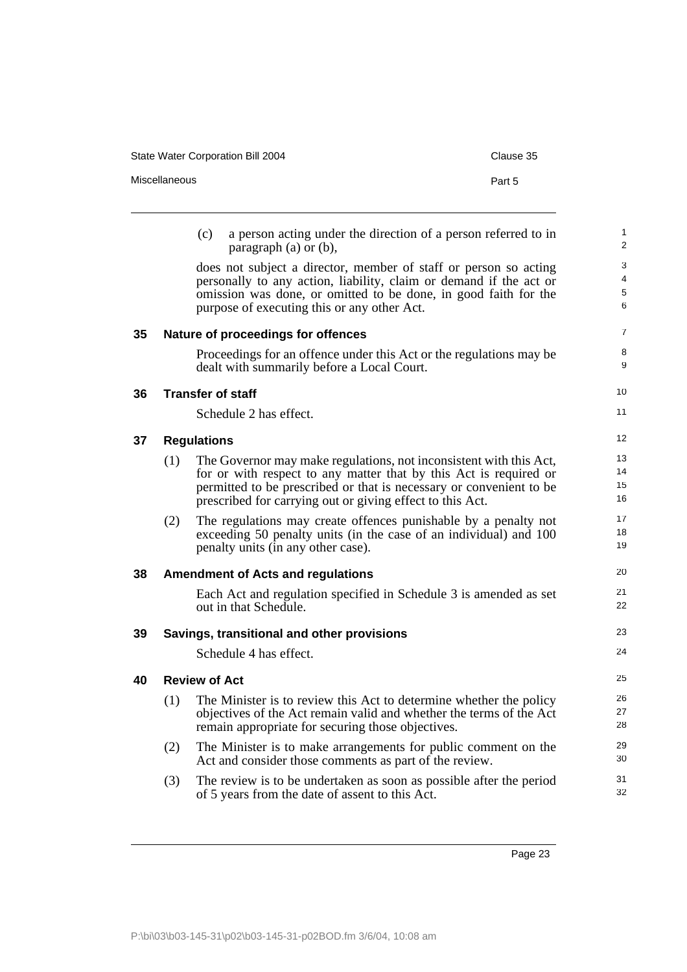<span id="page-26-5"></span><span id="page-26-4"></span><span id="page-26-3"></span><span id="page-26-2"></span><span id="page-26-1"></span><span id="page-26-0"></span>

|    |                    | State Water Corporation Bill 2004<br>Clause 35                                                                                                                                                                                                                              |                      |  |  |  |  |  |
|----|--------------------|-----------------------------------------------------------------------------------------------------------------------------------------------------------------------------------------------------------------------------------------------------------------------------|----------------------|--|--|--|--|--|
|    | Miscellaneous      | Part 5                                                                                                                                                                                                                                                                      |                      |  |  |  |  |  |
|    |                    | a person acting under the direction of a person referred to in<br>(c)<br>paragraph $(a)$ or $(b)$ ,                                                                                                                                                                         |                      |  |  |  |  |  |
|    |                    | does not subject a director, member of staff or person so acting<br>personally to any action, liability, claim or demand if the act or<br>omission was done, or omitted to be done, in good faith for the<br>purpose of executing this or any other Act.                    |                      |  |  |  |  |  |
| 35 |                    | Nature of proceedings for offences                                                                                                                                                                                                                                          |                      |  |  |  |  |  |
|    |                    | Proceedings for an offence under this Act or the regulations may be<br>dealt with summarily before a Local Court.                                                                                                                                                           |                      |  |  |  |  |  |
| 36 |                    | <b>Transfer of staff</b>                                                                                                                                                                                                                                                    | 10                   |  |  |  |  |  |
|    |                    | Schedule 2 has effect.                                                                                                                                                                                                                                                      | 11                   |  |  |  |  |  |
| 37 | <b>Regulations</b> |                                                                                                                                                                                                                                                                             |                      |  |  |  |  |  |
|    | (1)                | The Governor may make regulations, not inconsistent with this Act,<br>for or with respect to any matter that by this Act is required or<br>permitted to be prescribed or that is necessary or convenient to be<br>prescribed for carrying out or giving effect to this Act. | 13<br>14<br>15<br>16 |  |  |  |  |  |
|    | (2)                | The regulations may create offences punishable by a penalty not<br>exceeding 50 penalty units (in the case of an individual) and 100<br>penalty units (in any other case).                                                                                                  | 17<br>18<br>19       |  |  |  |  |  |
| 38 |                    | <b>Amendment of Acts and regulations</b>                                                                                                                                                                                                                                    | 20                   |  |  |  |  |  |
|    |                    | Each Act and regulation specified in Schedule 3 is amended as set<br>out in that Schedule.                                                                                                                                                                                  | 21<br>22             |  |  |  |  |  |
| 39 |                    | Savings, transitional and other provisions                                                                                                                                                                                                                                  | 23                   |  |  |  |  |  |
|    |                    | Schedule 4 has effect.                                                                                                                                                                                                                                                      | 24                   |  |  |  |  |  |
| 40 |                    | <b>Review of Act</b>                                                                                                                                                                                                                                                        | 25                   |  |  |  |  |  |
|    | (1)                | The Minister is to review this Act to determine whether the policy<br>objectives of the Act remain valid and whether the terms of the Act<br>remain appropriate for securing those objectives.                                                                              | 26<br>27<br>28       |  |  |  |  |  |
|    | (2)                | The Minister is to make arrangements for public comment on the<br>Act and consider those comments as part of the review.                                                                                                                                                    | 29<br>30             |  |  |  |  |  |
|    | (3)                | The review is to be undertaken as soon as possible after the period<br>of 5 years from the date of assent to this Act.                                                                                                                                                      | 31<br>32             |  |  |  |  |  |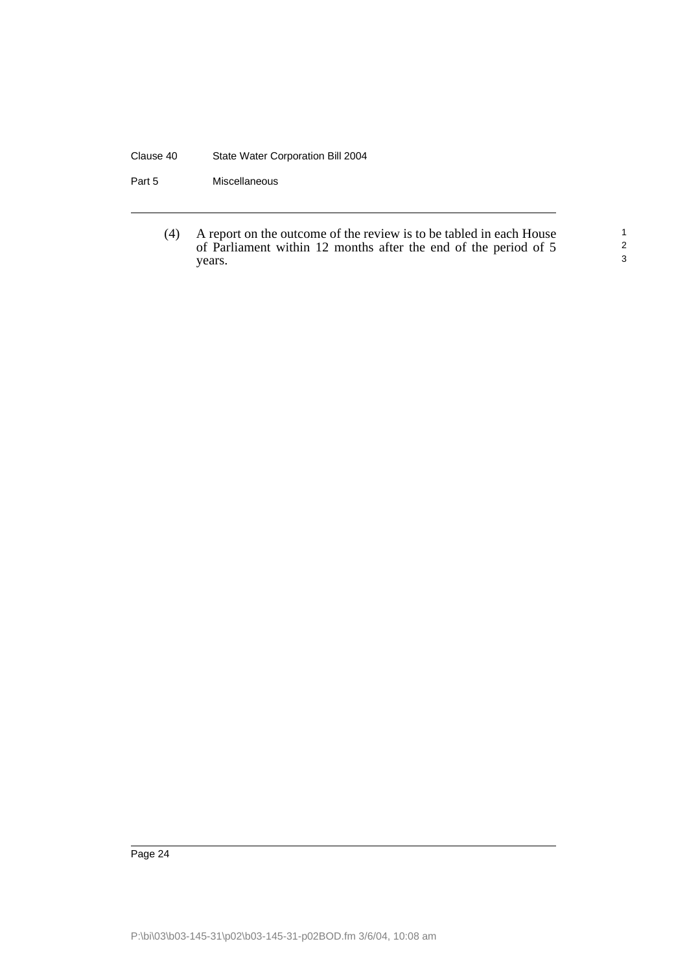#### Clause 40 State Water Corporation Bill 2004

Part 5 Miscellaneous

(4) A report on the outcome of the review is to be tabled in each House of Parliament within 12 months after the end of the period of 5 years.

1 2 3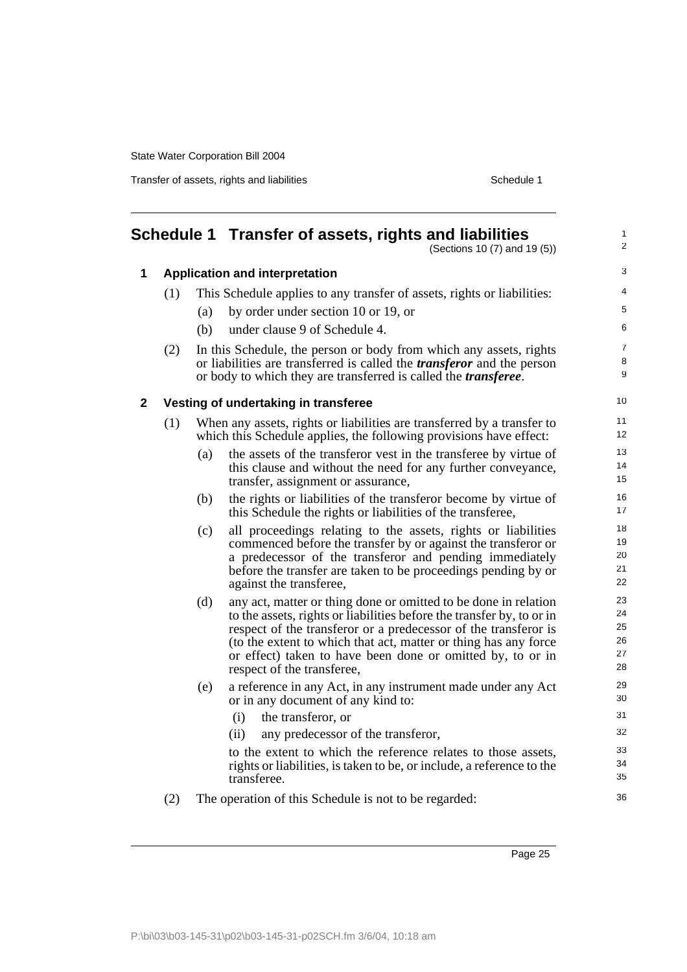Transfer of assets, rights and liabilities **Schedule 1** Schedule 1

<span id="page-28-0"></span>

|             |     |     | Schedule 1 Transfer of assets, rights and liabilities<br>(Sections 10 (7) and 19 (5))                                                                                                                                                                                                                                                                                      | 1<br>$\overline{c}$              |
|-------------|-----|-----|----------------------------------------------------------------------------------------------------------------------------------------------------------------------------------------------------------------------------------------------------------------------------------------------------------------------------------------------------------------------------|----------------------------------|
| 1           |     |     | <b>Application and interpretation</b>                                                                                                                                                                                                                                                                                                                                      | 3                                |
|             | (1) |     | This Schedule applies to any transfer of assets, rights or liabilities:                                                                                                                                                                                                                                                                                                    | 4                                |
|             |     | (a) | by order under section 10 or 19, or                                                                                                                                                                                                                                                                                                                                        | 5                                |
|             |     | (b) | under clause 9 of Schedule 4.                                                                                                                                                                                                                                                                                                                                              | 6                                |
|             | (2) |     | In this Schedule, the person or body from which any assets, rights<br>or liabilities are transferred is called the <i>transferor</i> and the person<br>or body to which they are transferred is called the <i>transferee</i> .                                                                                                                                             | 7<br>8<br>9                      |
| $\mathbf 2$ |     |     | Vesting of undertaking in transferee                                                                                                                                                                                                                                                                                                                                       | 10                               |
|             | (1) |     | When any assets, rights or liabilities are transferred by a transfer to<br>which this Schedule applies, the following provisions have effect:                                                                                                                                                                                                                              | 11<br>12                         |
|             |     | (a) | the assets of the transferor vest in the transferee by virtue of<br>this clause and without the need for any further conveyance,<br>transfer, assignment or assurance,                                                                                                                                                                                                     | 13<br>14<br>15                   |
|             |     | (b) | the rights or liabilities of the transferor become by virtue of<br>this Schedule the rights or liabilities of the transferee,                                                                                                                                                                                                                                              | 16<br>17                         |
|             |     | (c) | all proceedings relating to the assets, rights or liabilities<br>commenced before the transfer by or against the transferor or<br>a predecessor of the transferor and pending immediately<br>before the transfer are taken to be proceedings pending by or<br>against the transferee,                                                                                      | 18<br>19<br>20<br>21<br>22       |
|             |     | (d) | any act, matter or thing done or omitted to be done in relation<br>to the assets, rights or liabilities before the transfer by, to or in<br>respect of the transferor or a predecessor of the transferor is<br>(to the extent to which that act, matter or thing has any force<br>or effect) taken to have been done or omitted by, to or in<br>respect of the transferee, | 23<br>24<br>25<br>26<br>27<br>28 |
|             |     | (e) | a reference in any Act, in any instrument made under any Act<br>or in any document of any kind to:                                                                                                                                                                                                                                                                         | 29<br>30                         |
|             |     |     | the transferor, or<br>(i)                                                                                                                                                                                                                                                                                                                                                  | 31                               |
|             |     |     | any predecessor of the transferor,<br>(ii)                                                                                                                                                                                                                                                                                                                                 | 32                               |
|             |     |     | to the extent to which the reference relates to those assets,<br>rights or liabilities, is taken to be, or include, a reference to the<br>transferee.                                                                                                                                                                                                                      | 33<br>34<br>35                   |
|             | (2) |     | The operation of this Schedule is not to be regarded:                                                                                                                                                                                                                                                                                                                      | 36                               |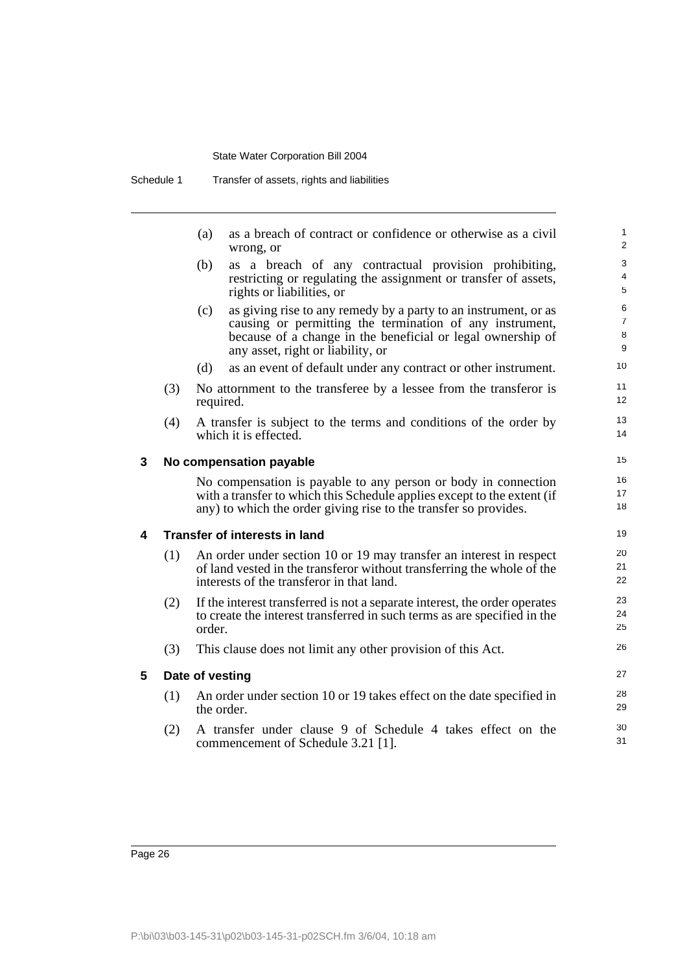|   |     | as a breach of contract or confidence or otherwise as a civil<br>(a)<br>wrong, or                                                                                                                                                      | $\mathbf{1}$<br>2                                       |
|---|-----|----------------------------------------------------------------------------------------------------------------------------------------------------------------------------------------------------------------------------------------|---------------------------------------------------------|
|   |     | (b)<br>as a breach of any contractual provision prohibiting,<br>restricting or regulating the assignment or transfer of assets,<br>rights or liabilities, or                                                                           | 3<br>$\overline{4}$<br>$\sqrt{5}$                       |
|   |     | as giving rise to any remedy by a party to an instrument, or as<br>(c)<br>causing or permitting the termination of any instrument,<br>because of a change in the beneficial or legal ownership of<br>any asset, right or liability, or | $\bf 6$<br>$\overline{7}$<br>$\bf8$<br>$\boldsymbol{9}$ |
|   |     | (d)<br>as an event of default under any contract or other instrument.                                                                                                                                                                  | 10                                                      |
|   | (3) | No attornment to the transferee by a lessee from the transferor is<br>required.                                                                                                                                                        | 11<br>12                                                |
|   | (4) | A transfer is subject to the terms and conditions of the order by<br>which it is effected.                                                                                                                                             | 13<br>14                                                |
| 3 |     | No compensation payable                                                                                                                                                                                                                | 15                                                      |
|   |     | No compensation is payable to any person or body in connection<br>with a transfer to which this Schedule applies except to the extent (if<br>any) to which the order giving rise to the transfer so provides.                          | 16<br>17<br>18                                          |
| 4 |     | <b>Transfer of interests in land</b>                                                                                                                                                                                                   | 19                                                      |
|   | (1) | An order under section 10 or 19 may transfer an interest in respect<br>of land vested in the transferor without transferring the whole of the<br>interests of the transferor in that land.                                             | 20<br>21<br>22                                          |
|   | (2) | If the interest transferred is not a separate interest, the order operates<br>to create the interest transferred in such terms as are specified in the<br>order.                                                                       | 23<br>24<br>25                                          |
|   | (3) | This clause does not limit any other provision of this Act.                                                                                                                                                                            | 26                                                      |
| 5 |     | Date of vesting                                                                                                                                                                                                                        | 27                                                      |
|   | (1) | An order under section 10 or 19 takes effect on the date specified in<br>the order.                                                                                                                                                    | 28<br>29                                                |
|   | (2) | A transfer under clause 9 of Schedule 4 takes effect on the<br>commencement of Schedule 3.21 [1].                                                                                                                                      | 30<br>31                                                |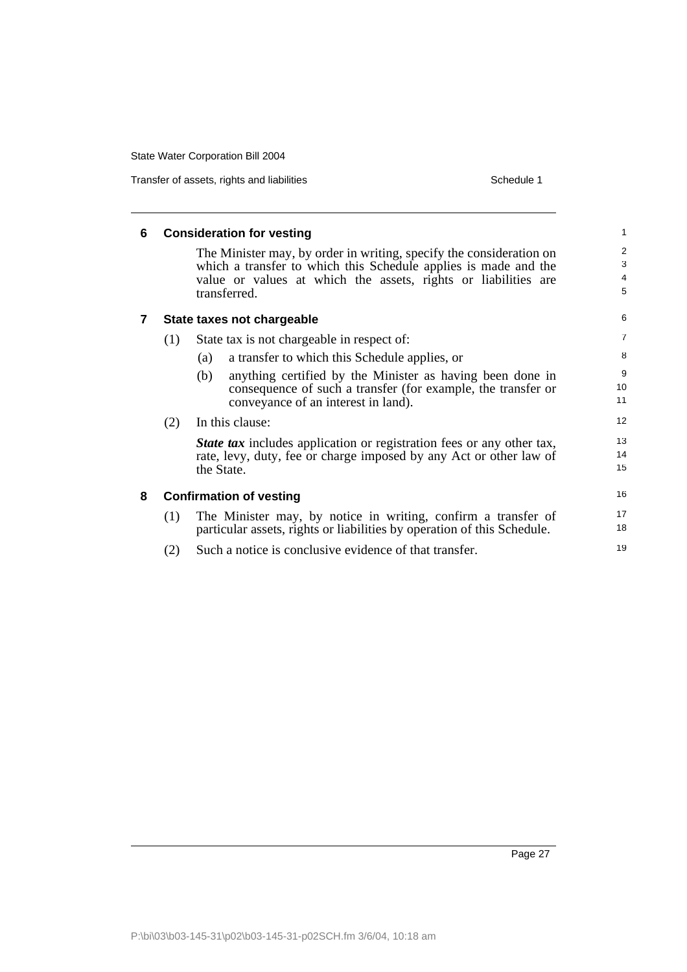Transfer of assets, rights and liabilities **Schedule 1** Schedule 1

| 6 |     | <b>Consideration for vesting</b>                                                                                                                                                                                         | 1                             |
|---|-----|--------------------------------------------------------------------------------------------------------------------------------------------------------------------------------------------------------------------------|-------------------------------|
|   |     | The Minister may, by order in writing, specify the consideration on<br>which a transfer to which this Schedule applies is made and the<br>value or values at which the assets, rights or liabilities are<br>transferred. | 2<br>3<br>$\overline{4}$<br>5 |
| 7 |     | State taxes not chargeable                                                                                                                                                                                               | 6                             |
|   | (1) | State tax is not chargeable in respect of:                                                                                                                                                                               | $\overline{7}$                |
|   |     | a transfer to which this Schedule applies, or<br>(a)                                                                                                                                                                     | 8                             |
|   |     | anything certified by the Minister as having been done in<br>(b)<br>consequence of such a transfer (for example, the transfer or<br>conveyance of an interest in land).                                                  | 9<br>10<br>11                 |
|   | (2) | In this clause:                                                                                                                                                                                                          | 12                            |
|   |     | State tax includes application or registration fees or any other tax,<br>rate, levy, duty, fee or charge imposed by any Act or other law of<br>the State.                                                                | 13<br>14<br>15                |
| 8 |     | <b>Confirmation of vesting</b>                                                                                                                                                                                           | 16                            |
|   | (1) | The Minister may, by notice in writing, confirm a transfer of<br>particular assets, rights or liabilities by operation of this Schedule.                                                                                 | 17<br>18                      |
|   | (2) | Such a notice is conclusive evidence of that transfer.                                                                                                                                                                   | 19                            |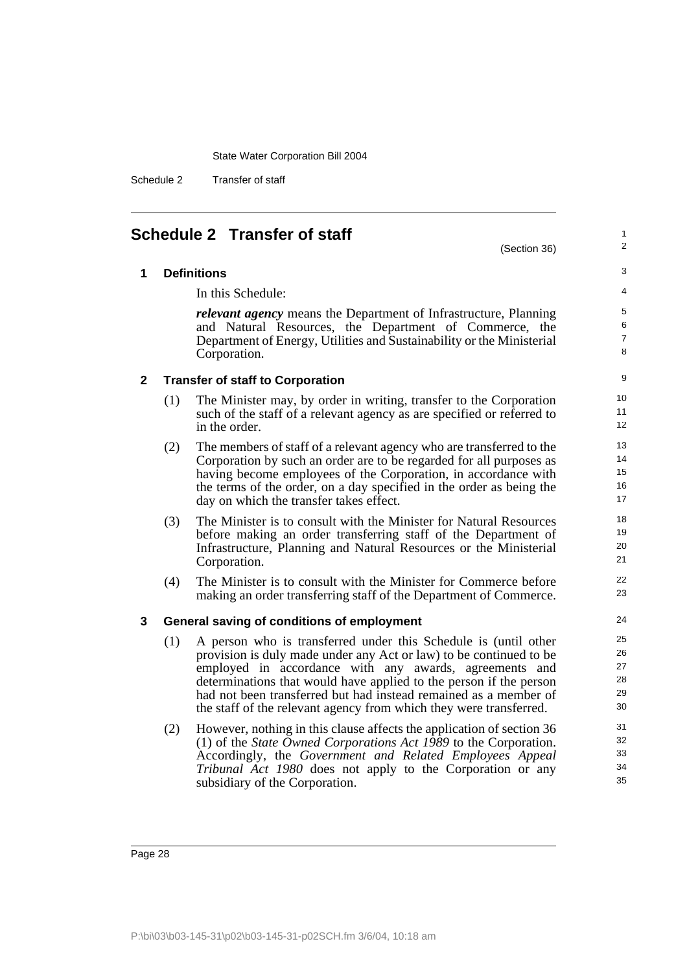Schedule 2 Transfer of staff

# <span id="page-31-0"></span>**Schedule 2 Transfer of staff**

## **1 Definitions**

In this Schedule:

*relevant agency* means the Department of Infrastructure, Planning and Natural Resources, the Department of Commerce, the Department of Energy, Utilities and Sustainability or the Ministerial Corporation.

**2 Transfer of staff to Corporation**

- (1) The Minister may, by order in writing, transfer to the Corporation such of the staff of a relevant agency as are specified or referred to in the order.
- (2) The members of staff of a relevant agency who are transferred to the Corporation by such an order are to be regarded for all purposes as having become employees of the Corporation, in accordance with the terms of the order, on a day specified in the order as being the day on which the transfer takes effect.
- (3) The Minister is to consult with the Minister for Natural Resources before making an order transferring staff of the Department of Infrastructure, Planning and Natural Resources or the Ministerial Corporation.
- (4) The Minister is to consult with the Minister for Commerce before making an order transferring staff of the Department of Commerce.

## **3 General saving of conditions of employment**

- (1) A person who is transferred under this Schedule is (until other provision is duly made under any Act or law) to be continued to be employed in accordance with any awards, agreements and determinations that would have applied to the person if the person had not been transferred but had instead remained as a member of the staff of the relevant agency from which they were transferred.
- (2) However, nothing in this clause affects the application of section 36 (1) of the *State Owned Corporations Act 1989* to the Corporation. Accordingly, the *Government and Related Employees Appeal Tribunal Act 1980* does not apply to the Corporation or any subsidiary of the Corporation.

Page 28

P:\bi\03\b03-145-31\p02\b03-145-31-p02SCH.fm 3/6/04, 10:18 am

(Section 36)

3 4

1 2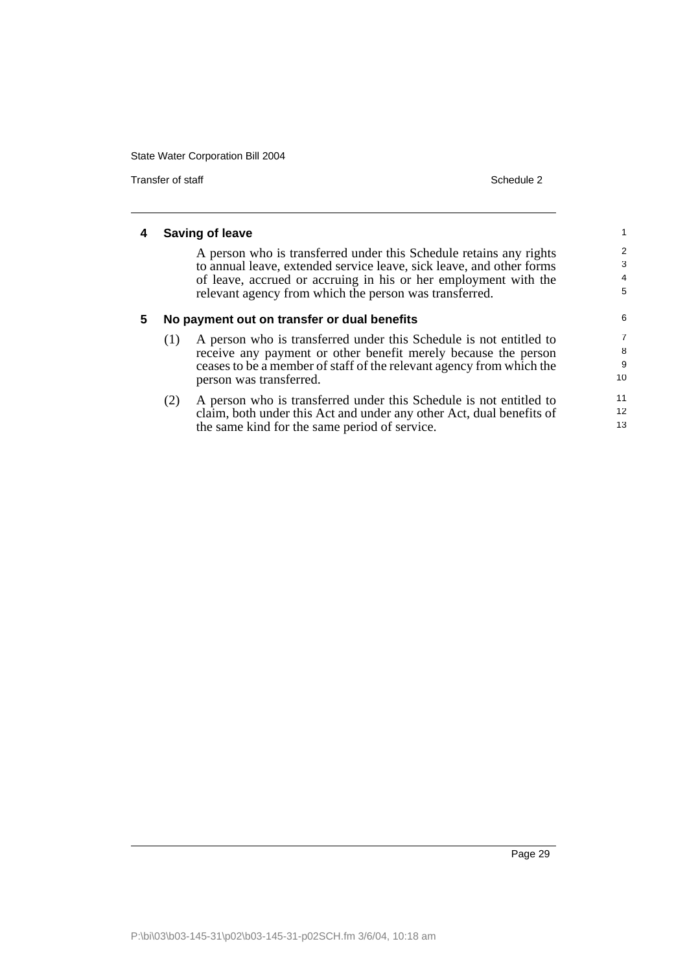Transfer of staff Schedule 2

|   |     | <b>Saving of leave</b>                                               |                |
|---|-----|----------------------------------------------------------------------|----------------|
|   |     | A person who is transferred under this Schedule retains any rights   | $\overline{2}$ |
|   |     | to annual leave, extended service leave, sick leave, and other forms | 3              |
|   |     | of leave, accrued or accruing in his or her employment with the      | 4              |
|   |     | relevant agency from which the person was transferred.               | 5              |
| 5 |     | No payment out on transfer or dual benefits                          | 6              |
|   | (1) | A person who is transferred under this Schedule is not entitled to   | $\overline{7}$ |
|   |     | receive any payment or other benefit merely because the person       | 8              |
|   |     | ceases to be a member of staff of the relevant agency from which the | 9              |
|   |     | person was transferred.                                              | 10             |
|   | (2) | A person who is transferred under this Schedule is not entitled to   | 11             |
|   |     | claim, both under this Act and under any other Act, dual benefits of | 12             |
|   |     | the same kind for the same period of service                         | 13             |

the same kind for the same period of service.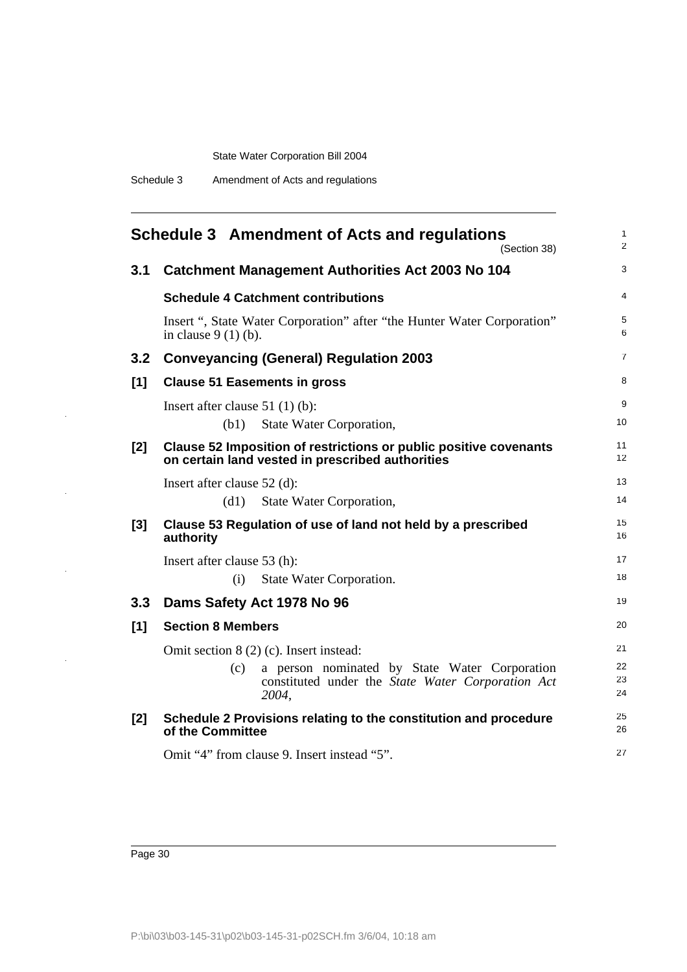<span id="page-33-0"></span>

| Schedule 3 Amendment of Acts and regulations<br>1<br>$\overline{2}$<br>(Section 38) |                                                                                                                       |                |  |
|-------------------------------------------------------------------------------------|-----------------------------------------------------------------------------------------------------------------------|----------------|--|
| 3.1                                                                                 | <b>Catchment Management Authorities Act 2003 No 104</b>                                                               | 3              |  |
|                                                                                     | <b>Schedule 4 Catchment contributions</b>                                                                             | 4              |  |
|                                                                                     | Insert ", State Water Corporation" after "the Hunter Water Corporation"<br>in clause $9(1)(b)$ .                      | 5<br>6         |  |
| 3.2                                                                                 | <b>Conveyancing (General) Regulation 2003</b>                                                                         | $\overline{7}$ |  |
| [1]                                                                                 | <b>Clause 51 Easements in gross</b>                                                                                   | 8              |  |
|                                                                                     | Insert after clause $51(1)(b)$ :                                                                                      | 9              |  |
|                                                                                     | (b1)<br>State Water Corporation,                                                                                      | 10             |  |
| [2]                                                                                 | Clause 52 Imposition of restrictions or public positive covenants<br>on certain land vested in prescribed authorities | 11<br>12       |  |
|                                                                                     | Insert after clause $52$ (d):                                                                                         | 13             |  |
|                                                                                     | (d1)<br>State Water Corporation,                                                                                      | 14             |  |
| [3]                                                                                 | Clause 53 Regulation of use of land not held by a prescribed<br>authority                                             | 15<br>16       |  |
|                                                                                     | Insert after clause 53 (h):                                                                                           | 17             |  |
|                                                                                     | State Water Corporation.<br>(i)                                                                                       | 18             |  |
| 3.3                                                                                 | Dams Safety Act 1978 No 96                                                                                            | 19             |  |
| [1]                                                                                 | <b>Section 8 Members</b>                                                                                              | 20             |  |
|                                                                                     | Omit section $8(2)$ (c). Insert instead:                                                                              | 21             |  |
|                                                                                     | a person nominated by State Water Corporation<br>(c)<br>constituted under the State Water Corporation Act<br>2004,    | 22<br>23<br>24 |  |
| [2]                                                                                 | Schedule 2 Provisions relating to the constitution and procedure<br>of the Committee                                  | 25<br>26       |  |
|                                                                                     | Omit "4" from clause 9. Insert instead "5".                                                                           | 27             |  |

 $\overline{\phantom{a}}$ 

 $\ddot{\phantom{a}}$ 

 $\ddot{\phantom{a}}$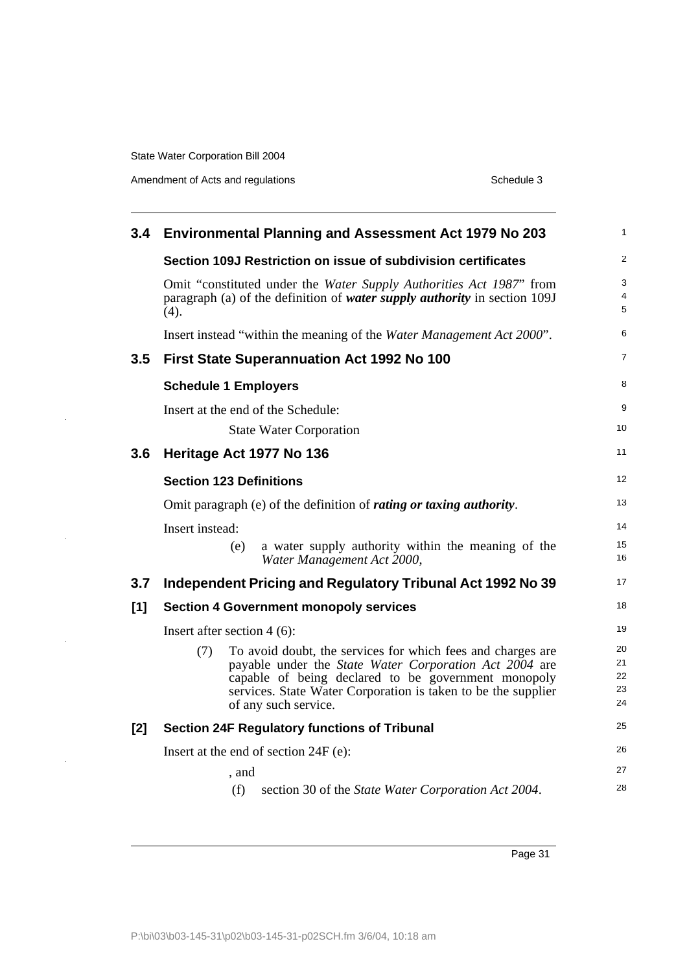Amendment of Acts and regulations

 $\hat{\boldsymbol{\gamma}}$ 

 $\hat{\mathcal{F}}$ 

| Schedule 3 |  |
|------------|--|
|            |  |

| $3.4^{\circ}$ | <b>Environmental Planning and Assessment Act 1979 No 203</b>                                                                                                                                                                                                                 | 1                          |
|---------------|------------------------------------------------------------------------------------------------------------------------------------------------------------------------------------------------------------------------------------------------------------------------------|----------------------------|
|               | Section 109J Restriction on issue of subdivision certificates                                                                                                                                                                                                                | 2                          |
|               | Omit "constituted under the Water Supply Authorities Act 1987" from<br>paragraph (a) of the definition of water supply authority in section 109J<br>(4).                                                                                                                     | 3<br>$\overline{4}$<br>5   |
|               | Insert instead "within the meaning of the Water Management Act 2000".                                                                                                                                                                                                        | 6                          |
| 3.5           | First State Superannuation Act 1992 No 100                                                                                                                                                                                                                                   | 7                          |
|               | <b>Schedule 1 Employers</b>                                                                                                                                                                                                                                                  | 8                          |
|               | Insert at the end of the Schedule:                                                                                                                                                                                                                                           | 9                          |
|               | <b>State Water Corporation</b>                                                                                                                                                                                                                                               | 10                         |
| 3.6           | Heritage Act 1977 No 136                                                                                                                                                                                                                                                     | 11                         |
|               | <b>Section 123 Definitions</b>                                                                                                                                                                                                                                               | 12                         |
|               | Omit paragraph (e) of the definition of <i>rating or taxing authority</i> .                                                                                                                                                                                                  | 13                         |
|               | Insert instead:                                                                                                                                                                                                                                                              | 14                         |
|               | a water supply authority within the meaning of the<br>(e)<br>Water Management Act 2000,                                                                                                                                                                                      | 15<br>16                   |
| 3.7           | Independent Pricing and Regulatory Tribunal Act 1992 No 39                                                                                                                                                                                                                   | 17                         |
| $[1]$         | <b>Section 4 Government monopoly services</b>                                                                                                                                                                                                                                | 18                         |
|               | Insert after section $4(6)$ :                                                                                                                                                                                                                                                | 19                         |
|               | To avoid doubt, the services for which fees and charges are<br>(7)<br>payable under the State Water Corporation Act 2004 are<br>capable of being declared to be government monopoly<br>services. State Water Corporation is taken to be the supplier<br>of any such service. | 20<br>21<br>22<br>23<br>24 |
| [2]           | <b>Section 24F Regulatory functions of Tribunal</b>                                                                                                                                                                                                                          | 25                         |
|               | Insert at the end of section $24F(e)$ :                                                                                                                                                                                                                                      | 26                         |
|               | , and                                                                                                                                                                                                                                                                        | 27                         |
|               | (f)<br>section 30 of the State Water Corporation Act 2004.                                                                                                                                                                                                                   | 28                         |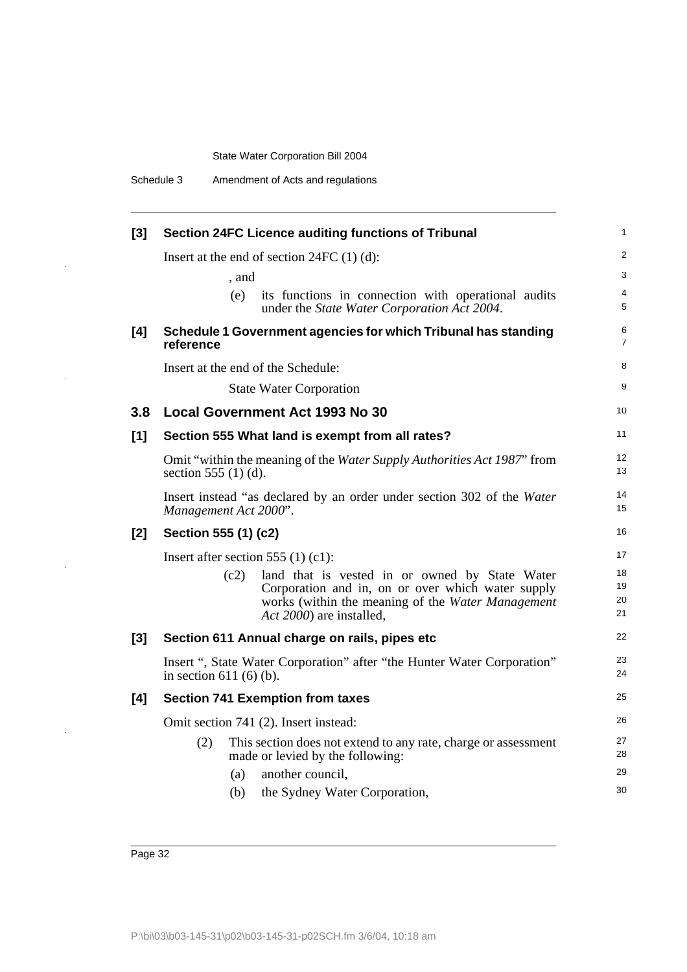| [3]              | Section 24FC Licence auditing functions of Tribunal                                                                                                                                          |                      |  |  |
|------------------|----------------------------------------------------------------------------------------------------------------------------------------------------------------------------------------------|----------------------|--|--|
|                  | Insert at the end of section $24FC(1)(d)$ :                                                                                                                                                  | 2                    |  |  |
|                  | , and                                                                                                                                                                                        | 3                    |  |  |
|                  | (e)<br>its functions in connection with operational audits<br>under the State Water Corporation Act 2004.                                                                                    | 4<br>5               |  |  |
| [4]              | Schedule 1 Government agencies for which Tribunal has standing<br>reference                                                                                                                  | 6<br>7               |  |  |
|                  | Insert at the end of the Schedule:                                                                                                                                                           | 8                    |  |  |
|                  | <b>State Water Corporation</b>                                                                                                                                                               | 9                    |  |  |
| 3.8 <sub>2</sub> | <b>Local Government Act 1993 No 30</b>                                                                                                                                                       | 10                   |  |  |
| [1]              | Section 555 What land is exempt from all rates?                                                                                                                                              | 11                   |  |  |
|                  | Omit "within the meaning of the Water Supply Authorities Act 1987" from<br>section 555 $(1)$ (d).                                                                                            | 12<br>13             |  |  |
|                  | Insert instead "as declared by an order under section 302 of the Water<br>Management Act 2000".                                                                                              | 14<br>15             |  |  |
| [2]              | Section 555 (1) (c2)                                                                                                                                                                         | 16                   |  |  |
|                  | Insert after section 555 (1) (c1):                                                                                                                                                           | 17                   |  |  |
|                  | land that is vested in or owned by State Water<br>(c2)<br>Corporation and in, on or over which water supply<br>works (within the meaning of the Water Management<br>Act 2000) are installed, | 18<br>19<br>20<br>21 |  |  |
| [3]              | Section 611 Annual charge on rails, pipes etc                                                                                                                                                | 22                   |  |  |
|                  | Insert ", State Water Corporation" after "the Hunter Water Corporation"<br>in section $611(6)(b)$ .                                                                                          | 23<br>24             |  |  |
| [4]              | <b>Section 741 Exemption from taxes</b>                                                                                                                                                      | 25                   |  |  |
|                  | Omit section 741 (2). Insert instead:                                                                                                                                                        | 26                   |  |  |
|                  | (2)<br>This section does not extend to any rate, charge or assessment<br>made or levied by the following:                                                                                    | 27<br>28             |  |  |
|                  | another council.<br>(a)                                                                                                                                                                      | 29                   |  |  |
|                  | the Sydney Water Corporation,<br>(b)                                                                                                                                                         | 30                   |  |  |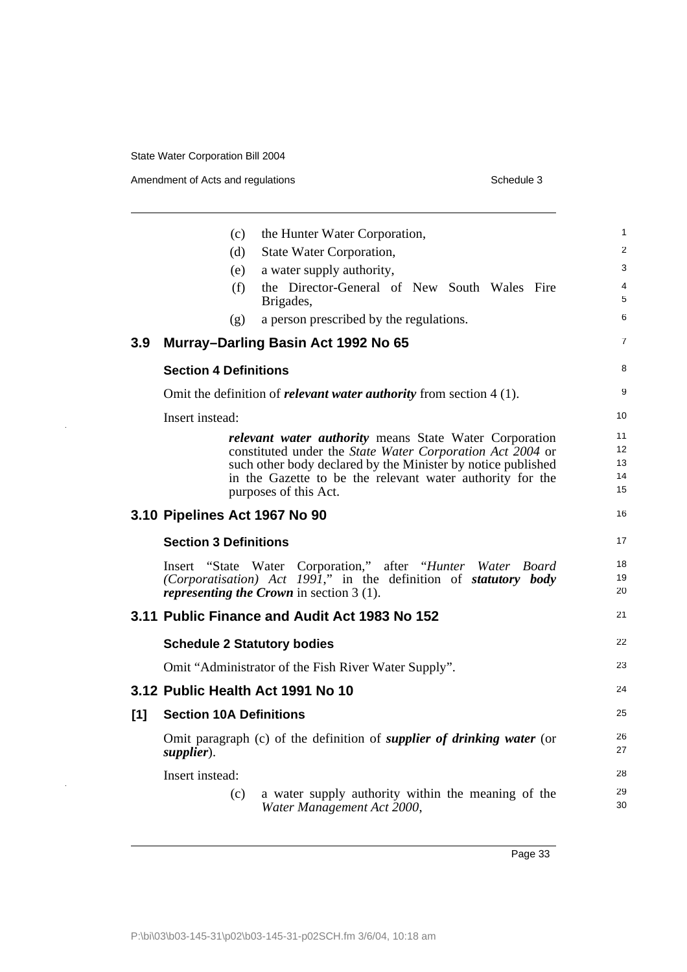Amendment of Acts and regulations **Schedule 3** Schedule 3

J.

|       | (c)<br>the Hunter Water Corporation,                                                                                                                                                                                                                                             | 1                            |
|-------|----------------------------------------------------------------------------------------------------------------------------------------------------------------------------------------------------------------------------------------------------------------------------------|------------------------------|
|       | (d)<br>State Water Corporation,                                                                                                                                                                                                                                                  | $\overline{2}$               |
|       | a water supply authority,<br>(e)                                                                                                                                                                                                                                                 | 3                            |
|       | the Director-General of New South Wales Fire<br>(f)<br>Brigades,                                                                                                                                                                                                                 | $\overline{\mathbf{4}}$<br>5 |
|       | a person prescribed by the regulations.<br>(g)                                                                                                                                                                                                                                   | 6                            |
| 3.9   | Murray-Darling Basin Act 1992 No 65                                                                                                                                                                                                                                              | 7                            |
|       | <b>Section 4 Definitions</b>                                                                                                                                                                                                                                                     | 8                            |
|       | Omit the definition of <i>relevant</i> water <i>authority</i> from section $4(1)$ .                                                                                                                                                                                              | 9                            |
|       | Insert instead:                                                                                                                                                                                                                                                                  | 10                           |
|       | <i>relevant water authority</i> means State Water Corporation<br>constituted under the State Water Corporation Act 2004 or<br>such other body declared by the Minister by notice published<br>in the Gazette to be the relevant water authority for the<br>purposes of this Act. | 11<br>12<br>13<br>14<br>15   |
|       | 3.10 Pipelines Act 1967 No 90                                                                                                                                                                                                                                                    | 16                           |
|       | <b>Section 3 Definitions</b>                                                                                                                                                                                                                                                     | 17                           |
|       | Insert "State Water Corporation," after "Hunter Water Board<br>(Corporatisation) Act 1991," in the definition of statutory body<br><i>representing the Crown</i> in section $3(1)$ .                                                                                             | 18<br>19<br>20               |
|       | 3.11 Public Finance and Audit Act 1983 No 152                                                                                                                                                                                                                                    | 21                           |
|       | <b>Schedule 2 Statutory bodies</b>                                                                                                                                                                                                                                               | 22                           |
|       | Omit "Administrator of the Fish River Water Supply".                                                                                                                                                                                                                             | 23                           |
|       | 3.12 Public Health Act 1991 No 10                                                                                                                                                                                                                                                | 24                           |
| $[1]$ | <b>Section 10A Definitions</b>                                                                                                                                                                                                                                                   | 25                           |
|       | Omit paragraph (c) of the definition of <i>supplier of drinking water</i> (or<br>supplier).                                                                                                                                                                                      | 26<br>27                     |
|       | Insert instead:                                                                                                                                                                                                                                                                  | 28                           |
|       | a water supply authority within the meaning of the<br>(c)<br>Water Management Act 2000,                                                                                                                                                                                          | 29<br>30                     |
|       |                                                                                                                                                                                                                                                                                  |                              |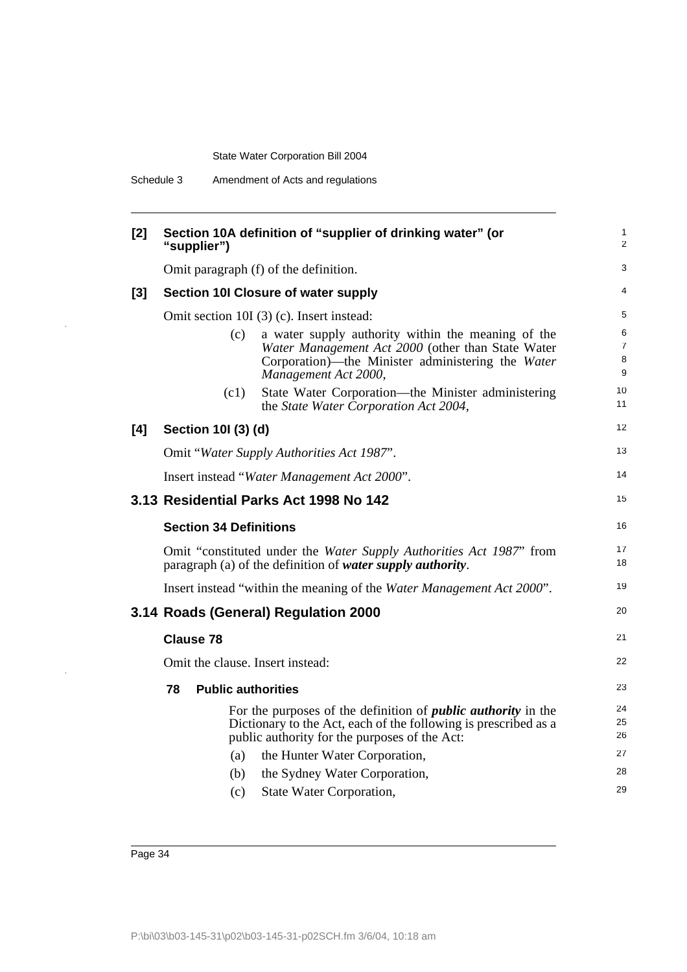| [2] | "supplier")                           | Section 10A definition of "supplier of drinking water" (or                                                                                                                                                                                                 | 1<br>2                     |
|-----|---------------------------------------|------------------------------------------------------------------------------------------------------------------------------------------------------------------------------------------------------------------------------------------------------------|----------------------------|
|     | Omit paragraph (f) of the definition. |                                                                                                                                                                                                                                                            |                            |
| [3] |                                       | Section 10I Closure of water supply                                                                                                                                                                                                                        | 4                          |
|     |                                       | Omit section 10I (3) (c). Insert instead:                                                                                                                                                                                                                  | 5                          |
|     | (c)                                   | a water supply authority within the meaning of the<br>Water Management Act 2000 (other than State Water<br>Corporation)—the Minister administering the Water<br>Management Act 2000,                                                                       | 6<br>7<br>8<br>9           |
|     | (c1)                                  | State Water Corporation—the Minister administering<br>the State Water Corporation Act 2004,                                                                                                                                                                | 10<br>11                   |
| [4] | Section 101 (3) (d)                   |                                                                                                                                                                                                                                                            | 12                         |
|     |                                       | Omit "Water Supply Authorities Act 1987".                                                                                                                                                                                                                  | 13                         |
|     |                                       | Insert instead "Water Management Act 2000".                                                                                                                                                                                                                | 14                         |
|     |                                       | 3.13 Residential Parks Act 1998 No 142                                                                                                                                                                                                                     | 15                         |
|     | <b>Section 34 Definitions</b>         |                                                                                                                                                                                                                                                            | 16                         |
|     |                                       | Omit "constituted under the Water Supply Authorities Act 1987" from<br>paragraph (a) of the definition of water supply authority.                                                                                                                          | 17<br>18                   |
|     |                                       | Insert instead "within the meaning of the Water Management Act 2000".                                                                                                                                                                                      | 19                         |
|     |                                       | 3.14 Roads (General) Regulation 2000                                                                                                                                                                                                                       | 20                         |
|     | <b>Clause 78</b>                      |                                                                                                                                                                                                                                                            | 21                         |
|     | Omit the clause. Insert instead:      |                                                                                                                                                                                                                                                            | 22                         |
|     | <b>Public authorities</b><br>78       |                                                                                                                                                                                                                                                            | 23                         |
|     | (a)<br>(b)                            | For the purposes of the definition of <i>public authority</i> in the<br>Dictionary to the Act, each of the following is prescribed as a<br>public authority for the purposes of the Act:<br>the Hunter Water Corporation,<br>the Sydney Water Corporation, | 24<br>25<br>26<br>27<br>28 |
|     | (c)                                   | State Water Corporation,                                                                                                                                                                                                                                   | 29                         |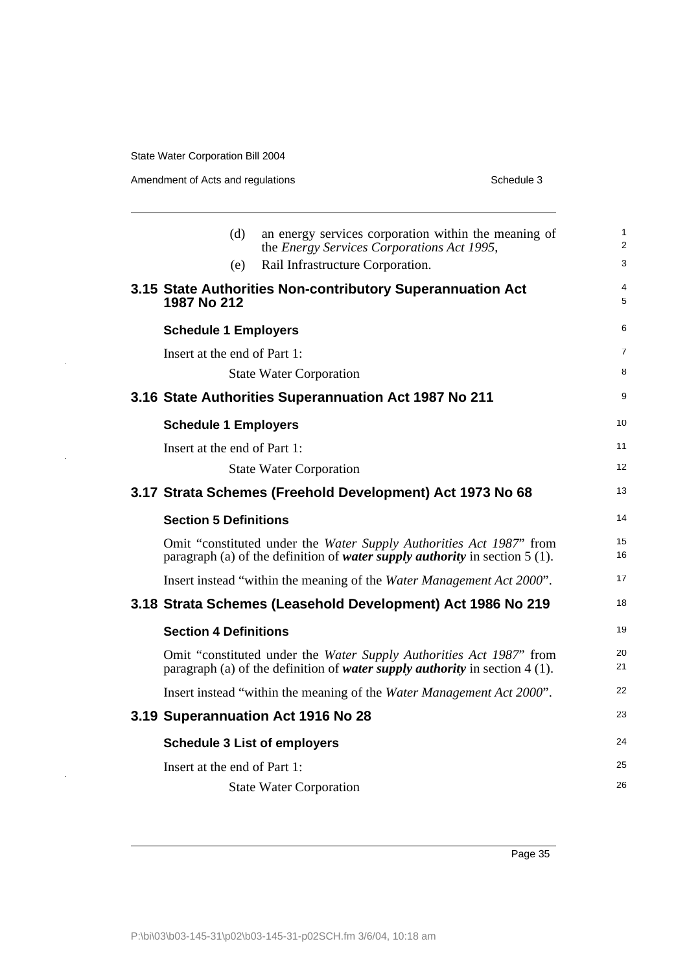Amendment of Acts and regulations Schedule 3

 $\hat{\mathcal{A}}$ 

 $\frac{1}{2}$ 

 $\bar{z}$ 

| (d)                                 | an energy services corporation within the meaning of<br>the <i>Energy Services Corporations Act 1995</i> ,                                                         | $\mathbf{1}$<br>$\overline{2}$ |
|-------------------------------------|--------------------------------------------------------------------------------------------------------------------------------------------------------------------|--------------------------------|
| (e)                                 | Rail Infrastructure Corporation.                                                                                                                                   | 3                              |
| 1987 No 212                         | 3.15 State Authorities Non-contributory Superannuation Act                                                                                                         | $\overline{4}$<br>5            |
| <b>Schedule 1 Employers</b>         |                                                                                                                                                                    | 6                              |
| Insert at the end of Part 1:        |                                                                                                                                                                    | 7                              |
|                                     | <b>State Water Corporation</b>                                                                                                                                     | 8                              |
|                                     | 3.16 State Authorities Superannuation Act 1987 No 211                                                                                                              | 9                              |
| <b>Schedule 1 Employers</b>         |                                                                                                                                                                    | 10                             |
| Insert at the end of Part 1:        |                                                                                                                                                                    | 11                             |
|                                     | <b>State Water Corporation</b>                                                                                                                                     | 12                             |
|                                     | 3.17 Strata Schemes (Freehold Development) Act 1973 No 68                                                                                                          | 13                             |
| <b>Section 5 Definitions</b>        |                                                                                                                                                                    | 14                             |
|                                     | Omit "constituted under the Water Supply Authorities Act 1987" from<br>paragraph (a) of the definition of <i>water</i> supply <i>authority</i> in section $5(1)$ . | 15<br>16                       |
|                                     | Insert instead "within the meaning of the Water Management Act 2000".                                                                                              | 17                             |
|                                     | 3.18 Strata Schemes (Leasehold Development) Act 1986 No 219                                                                                                        | 18                             |
| <b>Section 4 Definitions</b>        |                                                                                                                                                                    | 19                             |
|                                     | Omit "constituted under the Water Supply Authorities Act 1987" from<br>paragraph (a) of the definition of <i>water supply authority</i> in section $4(1)$ .        | 20<br>21                       |
|                                     | Insert instead "within the meaning of the Water Management Act 2000".                                                                                              | 22                             |
|                                     | 3.19 Superannuation Act 1916 No 28                                                                                                                                 | 23                             |
| <b>Schedule 3 List of employers</b> |                                                                                                                                                                    | 24                             |
| Insert at the end of Part 1:        |                                                                                                                                                                    | 25                             |
|                                     | <b>State Water Corporation</b>                                                                                                                                     | 26                             |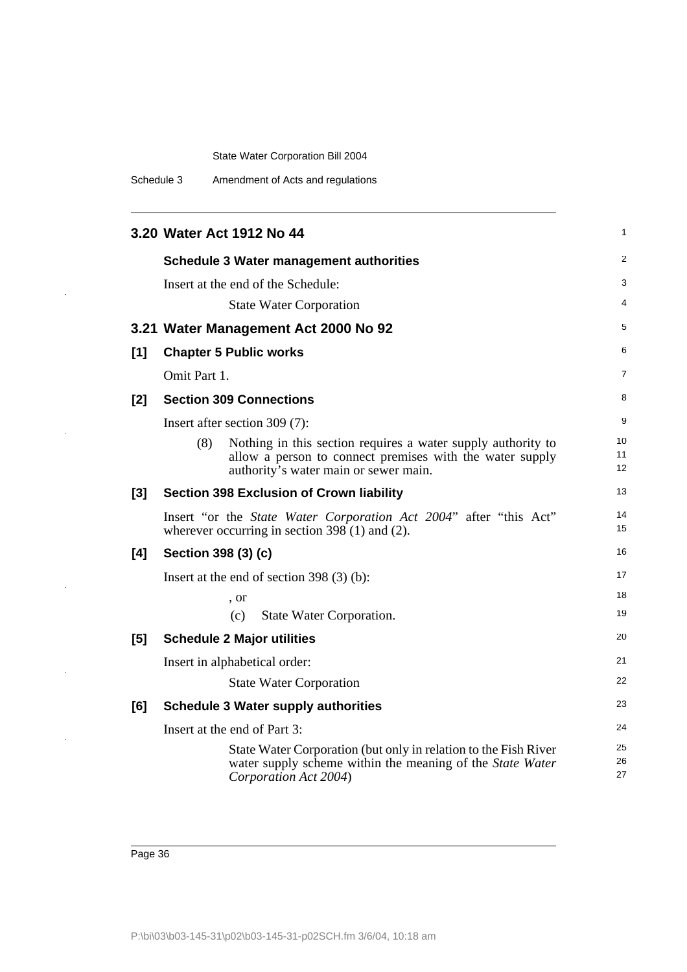| Schedule 3 | Amendment of Acts and regulations |  |
|------------|-----------------------------------|--|
|------------|-----------------------------------|--|

|       | 3.20 Water Act 1912 No 44                                                                                                                                                | 1              |
|-------|--------------------------------------------------------------------------------------------------------------------------------------------------------------------------|----------------|
|       |                                                                                                                                                                          | 2              |
|       | <b>Schedule 3 Water management authorities</b>                                                                                                                           |                |
|       | Insert at the end of the Schedule:                                                                                                                                       | 3              |
|       | <b>State Water Corporation</b>                                                                                                                                           | 4              |
|       | 3.21 Water Management Act 2000 No 92                                                                                                                                     | 5              |
| [1]   | <b>Chapter 5 Public works</b>                                                                                                                                            | 6              |
|       | Omit Part 1.                                                                                                                                                             | $\overline{7}$ |
| [2]   | <b>Section 309 Connections</b>                                                                                                                                           | 8              |
|       | Insert after section 309 (7):                                                                                                                                            | 9              |
|       | (8)<br>Nothing in this section requires a water supply authority to<br>allow a person to connect premises with the water supply<br>authority's water main or sewer main. | 10<br>11<br>12 |
| $[3]$ | <b>Section 398 Exclusion of Crown liability</b>                                                                                                                          | 13             |
|       | Insert "or the State Water Corporation Act 2004" after "this Act"<br>wherever occurring in section 398 $(1)$ and $(2)$ .                                                 | 14<br>15       |
| [4]   | Section 398 (3) (c)                                                                                                                                                      | 16             |
|       | Insert at the end of section $398(3)(b)$ :                                                                                                                               | 17             |
|       | , or                                                                                                                                                                     | 18             |
|       | State Water Corporation.<br>(c)                                                                                                                                          | 19             |
| [5]   | <b>Schedule 2 Major utilities</b>                                                                                                                                        | 20             |
|       | Insert in alphabetical order:                                                                                                                                            | 21             |
|       | <b>State Water Corporation</b>                                                                                                                                           | 22             |
| [6]   | <b>Schedule 3 Water supply authorities</b>                                                                                                                               | 23             |
|       | Insert at the end of Part 3:                                                                                                                                             | 24             |
|       | State Water Corporation (but only in relation to the Fish River<br>water supply scheme within the meaning of the State Water<br>Corporation Act 2004)                    | 25<br>26<br>27 |

 $\bar{z}$ 

 $\hat{\mathcal{A}}$ 

 $\sim$ 

 $\sim$ 

 $\hat{\mathcal{A}}$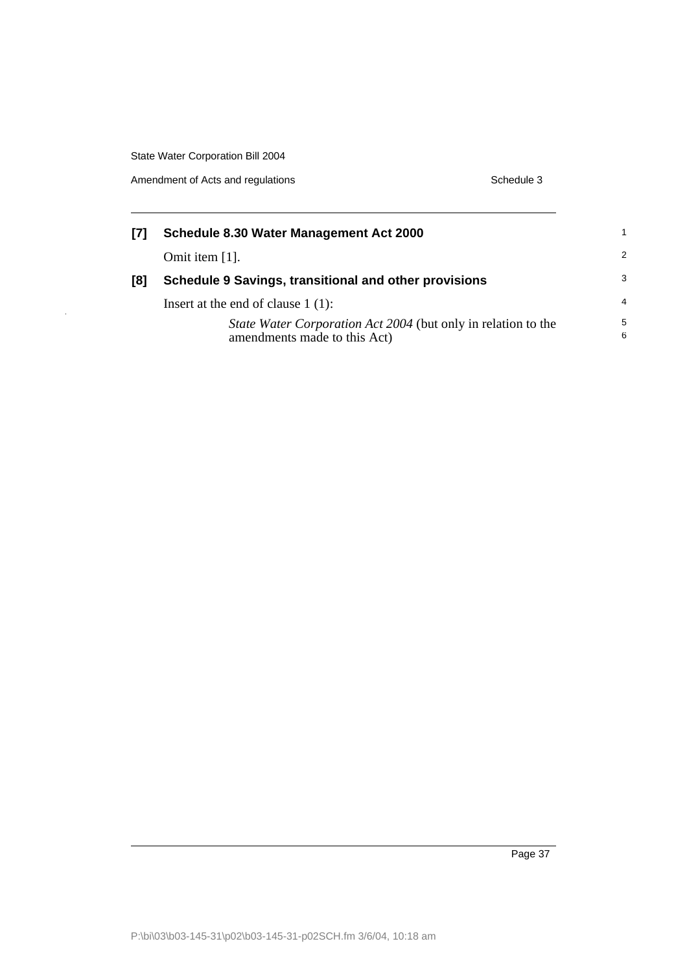Amendment of Acts and regulations **Schedule 3** Schedule 3

 $\bar{z}$ 

| [7] | Schedule 8.30 Water Management Act 2000                                                              | 1              |
|-----|------------------------------------------------------------------------------------------------------|----------------|
|     | Omit item $[1]$ .                                                                                    | $\mathcal{P}$  |
| [8] | Schedule 9 Savings, transitional and other provisions                                                | 3              |
|     | Insert at the end of clause $1(1)$ :                                                                 | $\overline{4}$ |
|     | <i>State Water Corporation Act 2004</i> (but only in relation to the<br>amendments made to this Act) | 5<br>6         |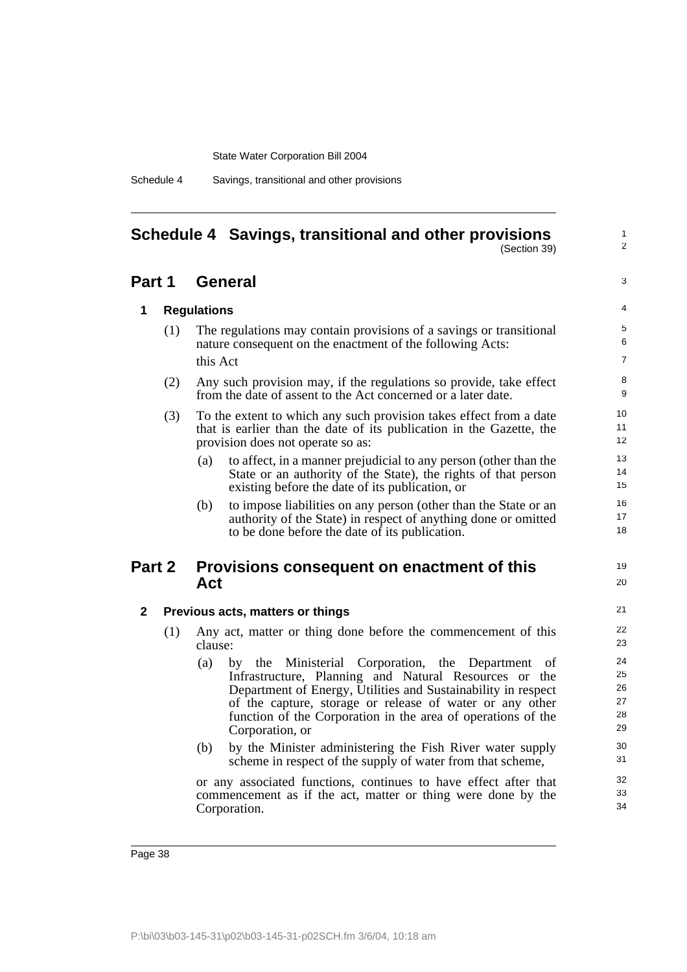Schedule 4 Savings, transitional and other provisions

<span id="page-41-0"></span>

| Schedule 4 Savings, transitional and other provisions |  |  |              |
|-------------------------------------------------------|--|--|--------------|
|                                                       |  |  | (Section 39) |

## **Part 1 General**

### **1 Regulations**

- (1) The regulations may contain provisions of a savings or transitional nature consequent on the enactment of the following Acts: this Act
- (2) Any such provision may, if the regulations so provide, take effect from the date of assent to the Act concerned or a later date.
- (3) To the extent to which any such provision takes effect from a date that is earlier than the date of its publication in the Gazette, the provision does not operate so as:
	- (a) to affect, in a manner prejudicial to any person (other than the State or an authority of the State), the rights of that person existing before the date of its publication, or
	- (b) to impose liabilities on any person (other than the State or an authority of the State) in respect of anything done or omitted to be done before the date of its publication.

## **Part 2 Provisions consequent on enactment of this Act**

19 20

1 2

3

# 21 22

# **2 Previous acts, matters or things**

- (1) Any act, matter or thing done before the commencement of this clause:
	- (a) by the Ministerial Corporation, the Department of Infrastructure, Planning and Natural Resources or the Department of Energy, Utilities and Sustainability in respect of the capture, storage or release of water or any other function of the Corporation in the area of operations of the Corporation, or
	- (b) by the Minister administering the Fish River water supply scheme in respect of the supply of water from that scheme,

or any associated functions, continues to have effect after that commencement as if the act, matter or thing were done by the Corporation.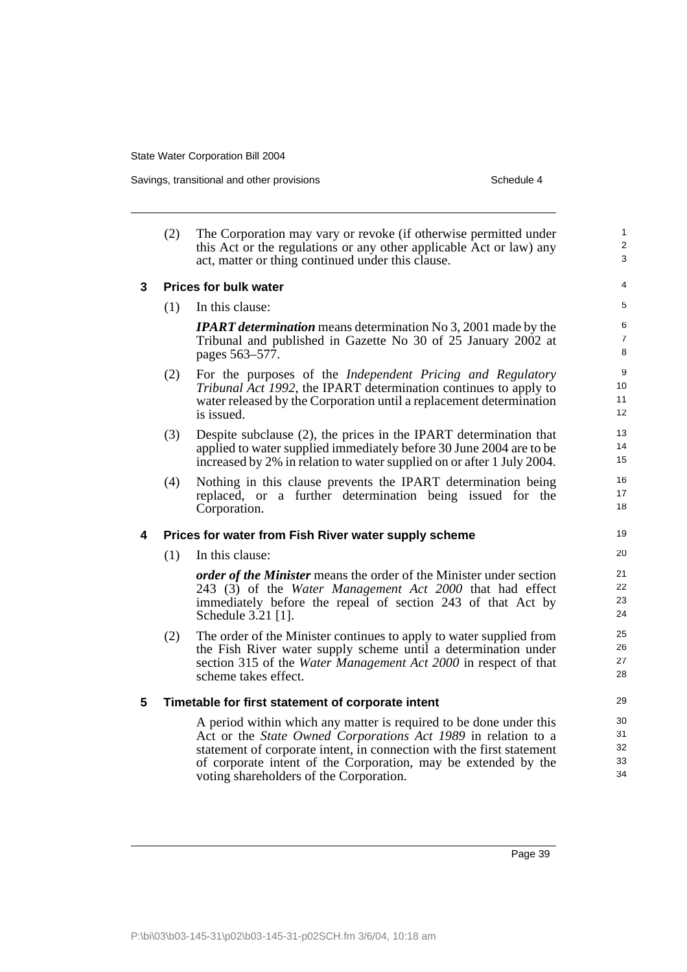Savings, transitional and other provisions Schedule 4

|   | (2)                          | The Corporation may vary or revoke (if otherwise permitted under<br>this Act or the regulations or any other applicable Act or law) any<br>act, matter or thing continued under this clause.                                                                                                                              | $\mathbf 1$<br>$\overline{\mathbf{c}}$<br>3 |
|---|------------------------------|---------------------------------------------------------------------------------------------------------------------------------------------------------------------------------------------------------------------------------------------------------------------------------------------------------------------------|---------------------------------------------|
| 3 | <b>Prices for bulk water</b> |                                                                                                                                                                                                                                                                                                                           |                                             |
|   | (1)                          | In this clause:                                                                                                                                                                                                                                                                                                           | 5                                           |
|   |                              | <b>IPART determination</b> means determination No 3, 2001 made by the<br>Tribunal and published in Gazette No 30 of 25 January 2002 at<br>pages 563–577.                                                                                                                                                                  | 6<br>7<br>8                                 |
|   | (2)                          | For the purposes of the Independent Pricing and Regulatory<br>Tribunal Act 1992, the IPART determination continues to apply to<br>water released by the Corporation until a replacement determination<br>is issued.                                                                                                       | 9<br>10<br>11<br>12                         |
|   | (3)                          | Despite subclause (2), the prices in the IPART determination that<br>applied to water supplied immediately before 30 June 2004 are to be<br>increased by 2% in relation to water supplied on or after 1 July 2004.                                                                                                        | 13<br>14<br>15                              |
|   | (4)                          | Nothing in this clause prevents the IPART determination being<br>replaced, or a further determination being issued for the<br>Corporation.                                                                                                                                                                                | 16<br>17<br>18                              |
| 4 |                              | Prices for water from Fish River water supply scheme                                                                                                                                                                                                                                                                      | 19                                          |
|   | (1)                          | In this clause:                                                                                                                                                                                                                                                                                                           | 20                                          |
|   |                              | order of the Minister means the order of the Minister under section<br>243 (3) of the Water Management Act 2000 that had effect<br>immediately before the repeal of section 243 of that Act by<br>Schedule 3.21 [1].                                                                                                      | 21<br>22<br>23<br>24                        |
|   | (2)                          | The order of the Minister continues to apply to water supplied from<br>the Fish River water supply scheme until a determination under<br>section 315 of the Water Management Act 2000 in respect of that<br>scheme takes effect.                                                                                          | 25<br>26<br>27<br>28                        |
| 5 |                              | Timetable for first statement of corporate intent                                                                                                                                                                                                                                                                         | 29                                          |
|   |                              | A period within which any matter is required to be done under this<br>Act or the State Owned Corporations Act 1989 in relation to a<br>statement of corporate intent, in connection with the first statement<br>of corporate intent of the Corporation, may be extended by the<br>voting shareholders of the Corporation. | 30<br>31<br>32<br>33<br>34                  |
|   |                              |                                                                                                                                                                                                                                                                                                                           |                                             |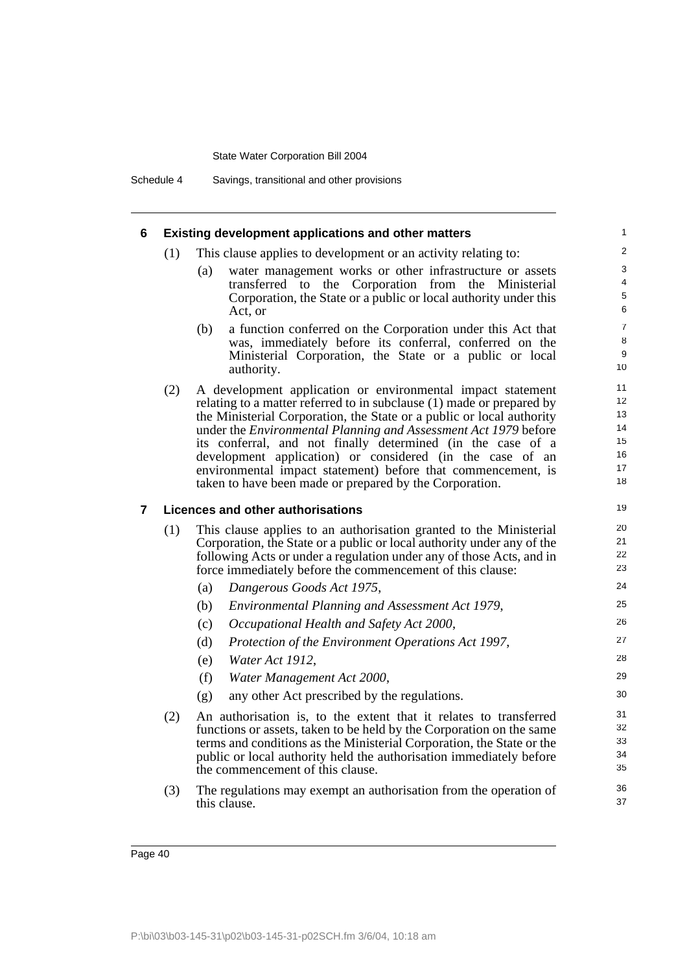Schedule 4 Savings, transitional and other provisions

#### **6 Existing development applications and other matters**

- (1) This clause applies to development or an activity relating to:
	- (a) water management works or other infrastructure or assets transferred to the Corporation from the Ministerial Corporation, the State or a public or local authority under this Act, or

- (b) a function conferred on the Corporation under this Act that was, immediately before its conferral, conferred on the Ministerial Corporation, the State or a public or local authority.
- (2) A development application or environmental impact statement relating to a matter referred to in subclause (1) made or prepared by the Ministerial Corporation, the State or a public or local authority under the *Environmental Planning and Assessment Act 1979* before its conferral, and not finally determined (in the case of a development application) or considered (in the case of an environmental impact statement) before that commencement, is taken to have been made or prepared by the Corporation.

#### **7 Licences and other authorisations**

- (1) This clause applies to an authorisation granted to the Ministerial Corporation, the State or a public or local authority under any of the following Acts or under a regulation under any of those Acts, and in force immediately before the commencement of this clause:
	- (a) *Dangerous Goods Act 1975*,
	- (b) *Environmental Planning and Assessment Act 1979*,
	- (c) *Occupational Health and Safety Act 2000*,
	- (d) *Protection of the Environment Operations Act 1997*,
	- (e) *Water Act 1912*,
	- (f) *Water Management Act 2000*,
	- (g) any other Act prescribed by the regulations.
- (2) An authorisation is, to the extent that it relates to transferred functions or assets, taken to be held by the Corporation on the same terms and conditions as the Ministerial Corporation, the State or the public or local authority held the authorisation immediately before the commencement of this clause.
- (3) The regulations may exempt an authorisation from the operation of this clause.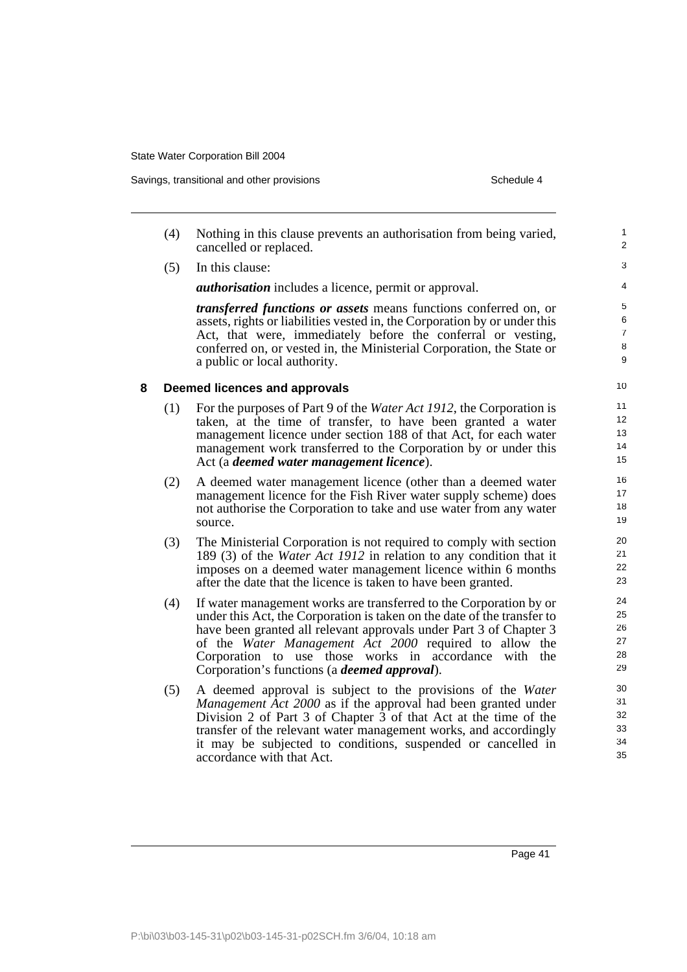Savings, transitional and other provisions Schedule 4

| 1<br>(4)<br>Nothing in this clause prevents an authorisation from being varied,<br>cancelled or replaced.<br>In this clause:<br>(5)<br><i>authorisation</i> includes a licence, permit or approval.<br><i>transferred functions or assets</i> means functions conferred on, or<br>assets, rights or liabilities vested in, the Corporation by or under this<br>Act, that were, immediately before the conferral or vesting,<br>conferred on, or vested in, the Ministerial Corporation, the State or<br>9<br>a public or local authority.<br>Deemed licences and approvals<br>(1)<br>For the purposes of Part 9 of the <i>Water Act 1912</i> , the Corporation is<br>taken, at the time of transfer, to have been granted a water<br>management licence under section 188 of that Act, for each water<br>management work transferred to the Corporation by or under this<br>Act (a deemed water management licence).<br>(2)<br>A deemed water management licence (other than a deemed water<br>management licence for the Fish River water supply scheme) does<br>not authorise the Corporation to take and use water from any water<br>source.<br>The Ministerial Corporation is not required to comply with section<br>(3)<br>189 (3) of the Water Act 1912 in relation to any condition that it<br>imposes on a deemed water management licence within 6 months<br>after the date that the licence is taken to have been granted.<br>If water management works are transferred to the Corporation by or<br>(4)<br>under this Act, the Corporation is taken on the date of the transfer to<br>have been granted all relevant approvals under Part 3 of Chapter 3<br>of the Water Management Act 2000 required to allow the<br>Corporation to use those<br>works in accordance with the<br>Corporation's functions (a <i>deemed approval</i> ).<br>A deemed approval is subject to the provisions of the Water<br>(5)<br>Management Act 2000 as if the approval had been granted under<br>Division 2 of Part 3 of Chapter $\hat{3}$ of that Act at the time of the<br>transfer of the relevant water management works, and accordingly<br>it may be subjected to conditions, suspended or cancelled in<br>accordance with that Act. |  |  |                                         |
|--------------------------------------------------------------------------------------------------------------------------------------------------------------------------------------------------------------------------------------------------------------------------------------------------------------------------------------------------------------------------------------------------------------------------------------------------------------------------------------------------------------------------------------------------------------------------------------------------------------------------------------------------------------------------------------------------------------------------------------------------------------------------------------------------------------------------------------------------------------------------------------------------------------------------------------------------------------------------------------------------------------------------------------------------------------------------------------------------------------------------------------------------------------------------------------------------------------------------------------------------------------------------------------------------------------------------------------------------------------------------------------------------------------------------------------------------------------------------------------------------------------------------------------------------------------------------------------------------------------------------------------------------------------------------------------------------------------------------------------------------------------------------------------------------------------------------------------------------------------------------------------------------------------------------------------------------------------------------------------------------------------------------------------------------------------------------------------------------------------------------------------------------------------------------------------------------------------------------------------|--|--|-----------------------------------------|
| 8                                                                                                                                                                                                                                                                                                                                                                                                                                                                                                                                                                                                                                                                                                                                                                                                                                                                                                                                                                                                                                                                                                                                                                                                                                                                                                                                                                                                                                                                                                                                                                                                                                                                                                                                                                                                                                                                                                                                                                                                                                                                                                                                                                                                                                    |  |  | 2                                       |
|                                                                                                                                                                                                                                                                                                                                                                                                                                                                                                                                                                                                                                                                                                                                                                                                                                                                                                                                                                                                                                                                                                                                                                                                                                                                                                                                                                                                                                                                                                                                                                                                                                                                                                                                                                                                                                                                                                                                                                                                                                                                                                                                                                                                                                      |  |  | 3                                       |
|                                                                                                                                                                                                                                                                                                                                                                                                                                                                                                                                                                                                                                                                                                                                                                                                                                                                                                                                                                                                                                                                                                                                                                                                                                                                                                                                                                                                                                                                                                                                                                                                                                                                                                                                                                                                                                                                                                                                                                                                                                                                                                                                                                                                                                      |  |  | 4                                       |
|                                                                                                                                                                                                                                                                                                                                                                                                                                                                                                                                                                                                                                                                                                                                                                                                                                                                                                                                                                                                                                                                                                                                                                                                                                                                                                                                                                                                                                                                                                                                                                                                                                                                                                                                                                                                                                                                                                                                                                                                                                                                                                                                                                                                                                      |  |  | 5<br>6<br>$\overline{7}$<br>8           |
|                                                                                                                                                                                                                                                                                                                                                                                                                                                                                                                                                                                                                                                                                                                                                                                                                                                                                                                                                                                                                                                                                                                                                                                                                                                                                                                                                                                                                                                                                                                                                                                                                                                                                                                                                                                                                                                                                                                                                                                                                                                                                                                                                                                                                                      |  |  | 10                                      |
|                                                                                                                                                                                                                                                                                                                                                                                                                                                                                                                                                                                                                                                                                                                                                                                                                                                                                                                                                                                                                                                                                                                                                                                                                                                                                                                                                                                                                                                                                                                                                                                                                                                                                                                                                                                                                                                                                                                                                                                                                                                                                                                                                                                                                                      |  |  | 11<br>12 <sup>2</sup><br>13<br>14<br>15 |
|                                                                                                                                                                                                                                                                                                                                                                                                                                                                                                                                                                                                                                                                                                                                                                                                                                                                                                                                                                                                                                                                                                                                                                                                                                                                                                                                                                                                                                                                                                                                                                                                                                                                                                                                                                                                                                                                                                                                                                                                                                                                                                                                                                                                                                      |  |  | 16<br>17<br>18<br>19                    |
|                                                                                                                                                                                                                                                                                                                                                                                                                                                                                                                                                                                                                                                                                                                                                                                                                                                                                                                                                                                                                                                                                                                                                                                                                                                                                                                                                                                                                                                                                                                                                                                                                                                                                                                                                                                                                                                                                                                                                                                                                                                                                                                                                                                                                                      |  |  | 20<br>21<br>22<br>23                    |
|                                                                                                                                                                                                                                                                                                                                                                                                                                                                                                                                                                                                                                                                                                                                                                                                                                                                                                                                                                                                                                                                                                                                                                                                                                                                                                                                                                                                                                                                                                                                                                                                                                                                                                                                                                                                                                                                                                                                                                                                                                                                                                                                                                                                                                      |  |  | 24<br>25<br>26<br>27<br>28<br>29        |
|                                                                                                                                                                                                                                                                                                                                                                                                                                                                                                                                                                                                                                                                                                                                                                                                                                                                                                                                                                                                                                                                                                                                                                                                                                                                                                                                                                                                                                                                                                                                                                                                                                                                                                                                                                                                                                                                                                                                                                                                                                                                                                                                                                                                                                      |  |  | 30<br>31<br>32<br>33<br>34<br>35        |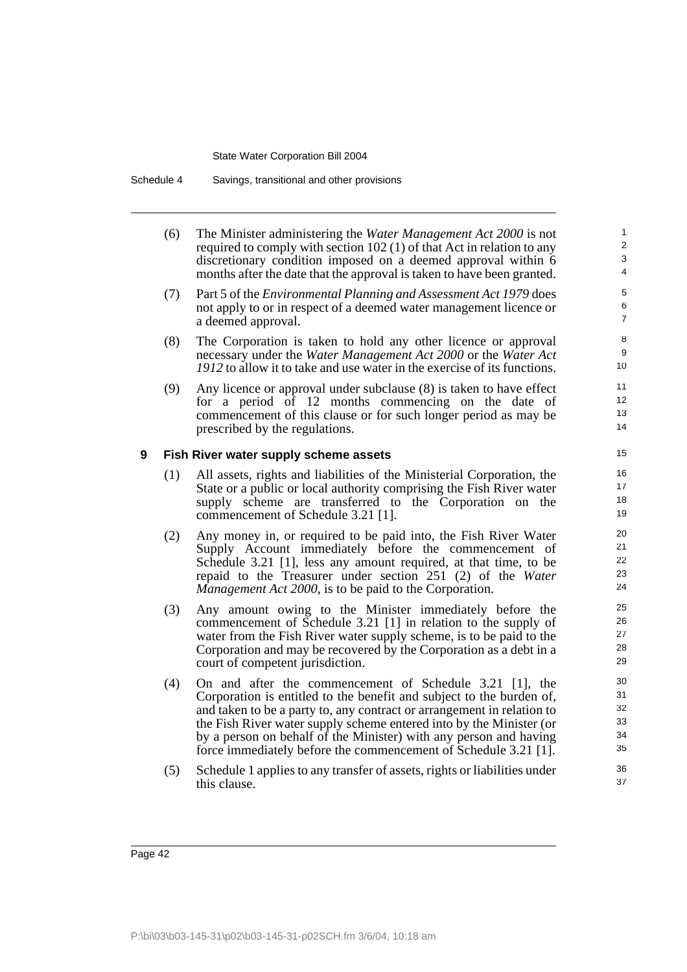Schedule 4 Savings, transitional and other provisions

(6) The Minister administering the *Water Management Act 2000* is not required to comply with section 102 (1) of that Act in relation to any discretionary condition imposed on a deemed approval within 6 months after the date that the approval is taken to have been granted.

- (7) Part 5 of the *Environmental Planning and Assessment Act 1979* does not apply to or in respect of a deemed water management licence or a deemed approval.
- (8) The Corporation is taken to hold any other licence or approval necessary under the *Water Management Act 2000* or the *Water Act 1912* to allow it to take and use water in the exercise of its functions.
- (9) Any licence or approval under subclause (8) is taken to have effect for a period of 12 months commencing on the date of commencement of this clause or for such longer period as may be prescribed by the regulations.

#### **9 Fish River water supply scheme assets**

- (1) All assets, rights and liabilities of the Ministerial Corporation, the State or a public or local authority comprising the Fish River water supply scheme are transferred to the Corporation on the commencement of Schedule 3.21 [1].
- (2) Any money in, or required to be paid into, the Fish River Water Supply Account immediately before the commencement of Schedule 3.21 [1], less any amount required, at that time, to be repaid to the Treasurer under section 251 (2) of the *Water Management Act 2000*, is to be paid to the Corporation.
- (3) Any amount owing to the Minister immediately before the commencement of Schedule 3.21 [1] in relation to the supply of water from the Fish River water supply scheme, is to be paid to the Corporation and may be recovered by the Corporation as a debt in a court of competent jurisdiction.
- (4) On and after the commencement of Schedule 3.21 [1], the Corporation is entitled to the benefit and subject to the burden of, and taken to be a party to, any contract or arrangement in relation to the Fish River water supply scheme entered into by the Minister (or by a person on behalf of the Minister) with any person and having force immediately before the commencement of Schedule 3.21 [1].
- (5) Schedule 1 applies to any transfer of assets, rights or liabilities under this clause.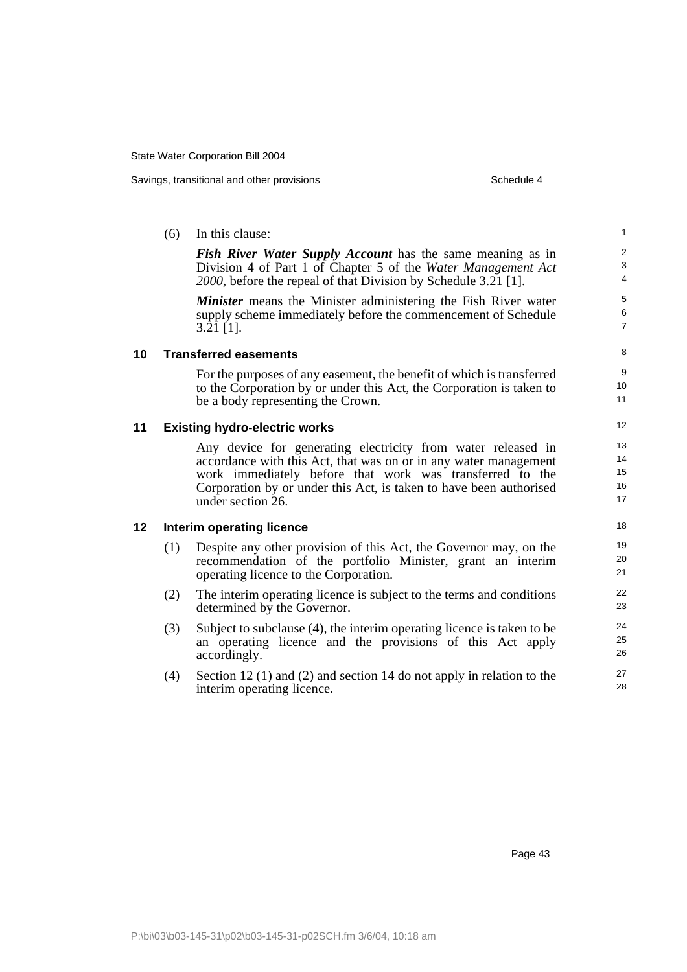|                 | (6) | In this clause:                                                                                                                                                                                                                                                                         | 1                                 |
|-----------------|-----|-----------------------------------------------------------------------------------------------------------------------------------------------------------------------------------------------------------------------------------------------------------------------------------------|-----------------------------------|
|                 |     | <b>Fish River Water Supply Account</b> has the same meaning as in<br>Division 4 of Part 1 of Chapter 5 of the Water Management Act<br>2000, before the repeal of that Division by Schedule 3.21 [1].                                                                                    | $\overline{\mathbf{c}}$<br>3<br>4 |
|                 |     | <b>Minister</b> means the Minister administering the Fish River water<br>supply scheme immediately before the commencement of Schedule<br>$3.21$ [1].                                                                                                                                   | 5<br>6<br>$\overline{7}$          |
| 10              |     | <b>Transferred easements</b>                                                                                                                                                                                                                                                            | 8                                 |
|                 |     | For the purposes of any easement, the benefit of which is transferred<br>to the Corporation by or under this Act, the Corporation is taken to<br>be a body representing the Crown.                                                                                                      | 9<br>10<br>11                     |
| 11              |     | <b>Existing hydro-electric works</b>                                                                                                                                                                                                                                                    | 12                                |
|                 |     | Any device for generating electricity from water released in<br>accordance with this Act, that was on or in any water management<br>work immediately before that work was transferred to the<br>Corporation by or under this Act, is taken to have been authorised<br>under section 26. | 13<br>14<br>15<br>16<br>17        |
| 12 <sub>2</sub> |     | Interim operating licence                                                                                                                                                                                                                                                               | 18                                |
|                 | (1) | Despite any other provision of this Act, the Governor may, on the<br>recommendation of the portfolio Minister, grant an interim<br>operating licence to the Corporation.                                                                                                                | 19<br>20<br>21                    |
|                 | (2) | The interim operating licence is subject to the terms and conditions<br>determined by the Governor.                                                                                                                                                                                     | 22<br>23                          |
|                 | (3) | Subject to subclause (4), the interim operating licence is taken to be<br>an operating licence and the provisions of this Act apply<br>accordingly.                                                                                                                                     | 24<br>25<br>26                    |
|                 | (4) | Section 12 $(1)$ and $(2)$ and section 14 do not apply in relation to the<br>interim operating licence.                                                                                                                                                                                 | 27<br>28                          |